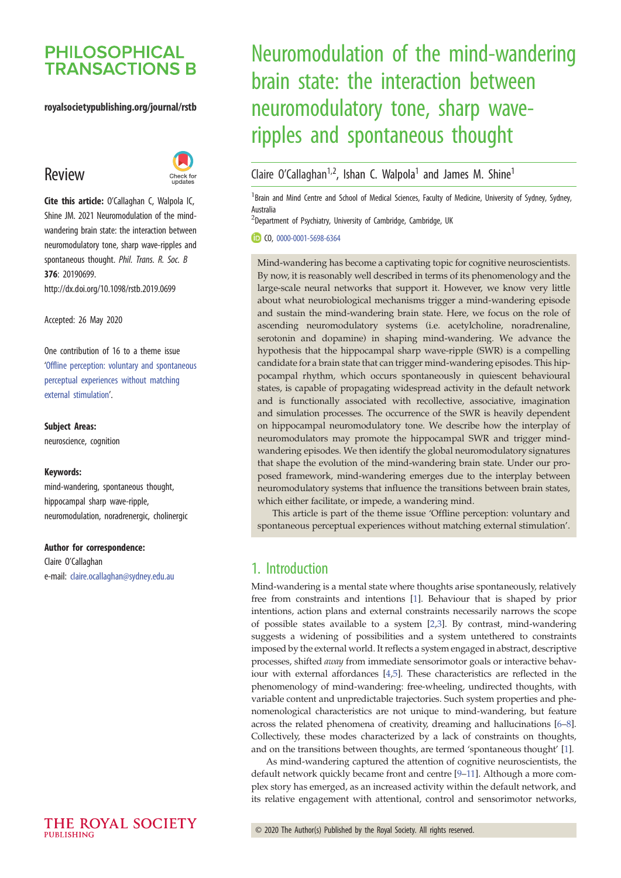# **PHILOSOPHICAL TRANSACTIONS B**

### royalsocietypublishing.org/journal/rstb

# Review



Cite this article: O'Callaghan C, Walpola IC, Shine JM. 2021 Neuromodulation of the mindwandering brain state: the interaction between neuromodulatory tone, sharp wave-ripples and spontaneous thought. Phil. Trans. R. Soc. B 376: 20190699.

http://dx.doi.org/10.1098/rstb.2019.0699

Accepted: 26 May 2020

One contribution of 16 to a theme issue '[Offline perception: voluntary and spontaneous](http://dx.doi.org/10.1098/rstb/376/1817) [perceptual experiences without matching](http://dx.doi.org/10.1098/rstb/376/1817) [external stimulation](http://dx.doi.org/10.1098/rstb/376/1817)'.

#### Subject Areas:

neuroscience, cognition

#### Keywords:

mind-wandering, spontaneous thought, hippocampal sharp wave-ripple, neuromodulation, noradrenergic, cholinergic

#### Author for correspondence:

Claire O'Callaghan e-mail: [claire.ocallaghan@sydney.edu.au](mailto:claire.ocallaghan@sydney.edu.au)

# ascending neuromodulatory systems (i.e. acetylcholine, noradrenaline, serotonin and dopamine) in shaping mind-wandering. We advance the hypothesis that the hippocampal sharp wave-ripple (SWR) is a compelling candidate for a brain state that can trigger mind-wandering episodes. This hip-

Australia

CO, [0000-0001-5698-6364](http://orcid.org/0000-0001-5698-6364)

pocampal rhythm, which occurs spontaneously in quiescent behavioural states, is capable of propagating widespread activity in the default network and is functionally associated with recollective, associative, imagination and simulation processes. The occurrence of the SWR is heavily dependent on hippocampal neuromodulatory tone. We describe how the interplay of neuromodulators may promote the hippocampal SWR and trigger mindwandering episodes. We then identify the global neuromodulatory signatures that shape the evolution of the mind-wandering brain state. Under our proposed framework, mind-wandering emerges due to the interplay between neuromodulatory systems that influence the transitions between brain states, which either facilitate, or impede, a wandering mind.

Neuromodulation of the mind-wandering

<sup>1</sup> Brain and Mind Centre and School of Medical Sciences, Faculty of Medicine, University of Sydney, Sydney,

Mind-wandering has become a captivating topic for cognitive neuroscientists. By now, it is reasonably well described in terms of its phenomenology and the large-scale neural networks that support it. However, we know very little about what neurobiological mechanisms trigger a mind-wandering episode and sustain the mind-wandering brain state. Here, we focus on the role of

brain state: the interaction between

neuromodulatory tone, sharp wave-

ripples and spontaneous thought

Claire O'Callaghan<sup>1,2</sup>, Ishan C. Walpola<sup>1</sup> and James M. Shine<sup>1</sup>

<sup>2</sup>Department of Psychiatry, University of Cambridge, Cambridge, UK

This article is part of the theme issue 'Offline perception: voluntary and spontaneous perceptual experiences without matching external stimulation'.

### 1. Introduction

Mind-wandering is a mental state where thoughts arise spontaneously, relatively free from constraints and intentions [\[1\]](#page-9-0). Behaviour that is shaped by prior intentions, action plans and external constraints necessarily narrows the scope of possible states available to a system [\[2,3\]](#page-9-0). By contrast, mind-wandering suggests a widening of possibilities and a system untethered to constraints imposed by the external world. It reflects a system engaged in abstract, descriptive processes, shifted away from immediate sensorimotor goals or interactive behaviour with external affordances [\[4,5](#page-9-0)]. These characteristics are reflected in the phenomenology of mind-wandering: free-wheeling, undirected thoughts, with variable content and unpredictable trajectories. Such system properties and phenomenological characteristics are not unique to mind-wandering, but feature across the related phenomena of creativity, dreaming and hallucinations [\[6](#page-9-0)–[8\]](#page-9-0). Collectively, these modes characterized by a lack of constraints on thoughts, and on the transitions between thoughts, are termed 'spontaneous thought' [\[1](#page-9-0)].

As mind-wandering captured the attention of cognitive neuroscientists, the default network quickly became front and centre [\[9](#page-9-0)–[11\]](#page-9-0). Although a more complex story has emerged, as an increased activity within the default network, and its relative engagement with attentional, control and sensorimotor networks,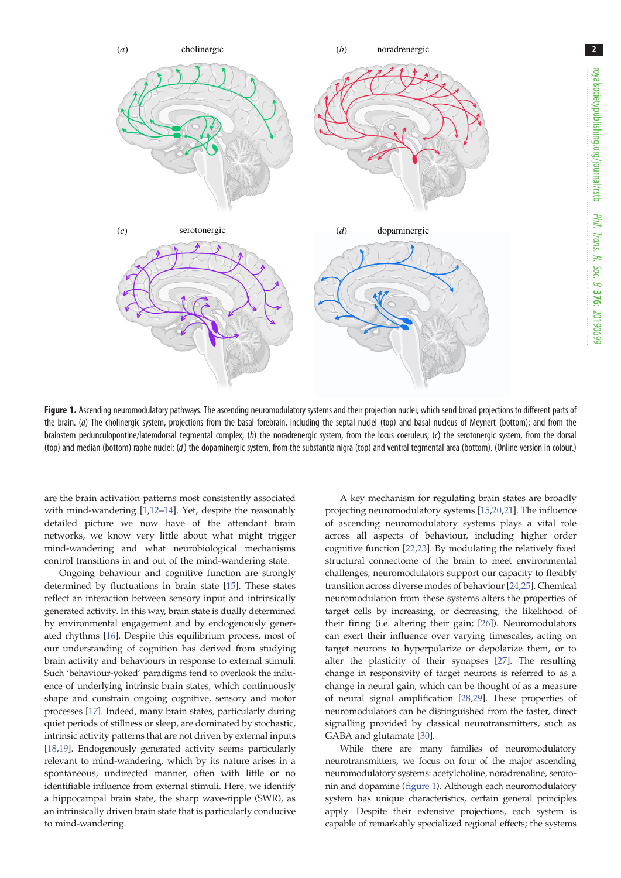<span id="page-1-0"></span>

Figure 1. Ascending neuromodulatory pathways. The ascending neuromodulatory systems and their projection nuclei, which send broad projections to different parts of the brain. (a) The cholinergic system, projections from the basal forebrain, including the septal nuclei (top) and basal nucleus of Meynert (bottom); and from the brainstem pedunculopontine/laterodorsal tegmental complex; (b) the noradrenergic system, from the locus coeruleus; (c) the serotonergic system, from the dorsal (top) and median (bottom) raphe nuclei; (d) the dopaminergic system, from the substantia nigra (top) and ventral tegmental area (bottom). (Online version in colour.)

are the brain activation patterns most consistently associated with mind-wandering [[1](#page-9-0),[12](#page-9-0)–[14](#page-9-0)]. Yet, despite the reasonably detailed picture we now have of the attendant brain networks, we know very little about what might trigger mind-wandering and what neurobiological mechanisms control transitions in and out of the mind-wandering state.

Ongoing behaviour and cognitive function are strongly determined by fluctuations in brain state [\[15\]](#page-9-0). These states reflect an interaction between sensory input and intrinsically generated activity. In this way, brain state is dually determined by environmental engagement and by endogenously generated rhythms [[16\]](#page-9-0). Despite this equilibrium process, most of our understanding of cognition has derived from studying brain activity and behaviours in response to external stimuli. Such 'behaviour-yoked' paradigms tend to overlook the influence of underlying intrinsic brain states, which continuously shape and constrain ongoing cognitive, sensory and motor processes [[17\]](#page-9-0). Indeed, many brain states, particularly during quiet periods of stillness or sleep, are dominated by stochastic, intrinsic activity patterns that are not driven by external inputs [\[18,19](#page-9-0)]. Endogenously generated activity seems particularly relevant to mind-wandering, which by its nature arises in a spontaneous, undirected manner, often with little or no identifiable influence from external stimuli. Here, we identify a hippocampal brain state, the sharp wave-ripple (SWR), as an intrinsically driven brain state that is particularly conducive to mind-wandering.

A key mechanism for regulating brain states are broadly projecting neuromodulatory systems [[15,20,21](#page-9-0)]. The influence of ascending neuromodulatory systems plays a vital role across all aspects of behaviour, including higher order cognitive function [[22,23](#page-9-0)]. By modulating the relatively fixed structural connectome of the brain to meet environmental challenges, neuromodulators support our capacity to flexibly transition across diverse modes of behaviour [[24,25\]](#page-9-0). Chemical neuromodulation from these systems alters the properties of target cells by increasing, or decreasing, the likelihood of their firing (i.e. altering their gain; [\[26](#page-9-0)]). Neuromodulators can exert their influence over varying timescales, acting on target neurons to hyperpolarize or depolarize them, or to alter the plasticity of their synapses [\[27](#page-9-0)]. The resulting change in responsivity of target neurons is referred to as a change in neural gain, which can be thought of as a measure of neural signal amplification [\[28](#page-9-0),[29\]](#page-9-0). These properties of neuromodulators can be distinguished from the faster, direct signalling provided by classical neurotransmitters, such as GABA and glutamate [\[30\]](#page-9-0).

While there are many families of neuromodulatory neurotransmitters, we focus on four of the major ascending neuromodulatory systems: acetylcholine, noradrenaline, serotonin and dopamine (figure 1). Although each neuromodulatory system has unique characteristics, certain general principles apply. Despite their extensive projections, each system is capable of remarkably specialized regional effects; the systems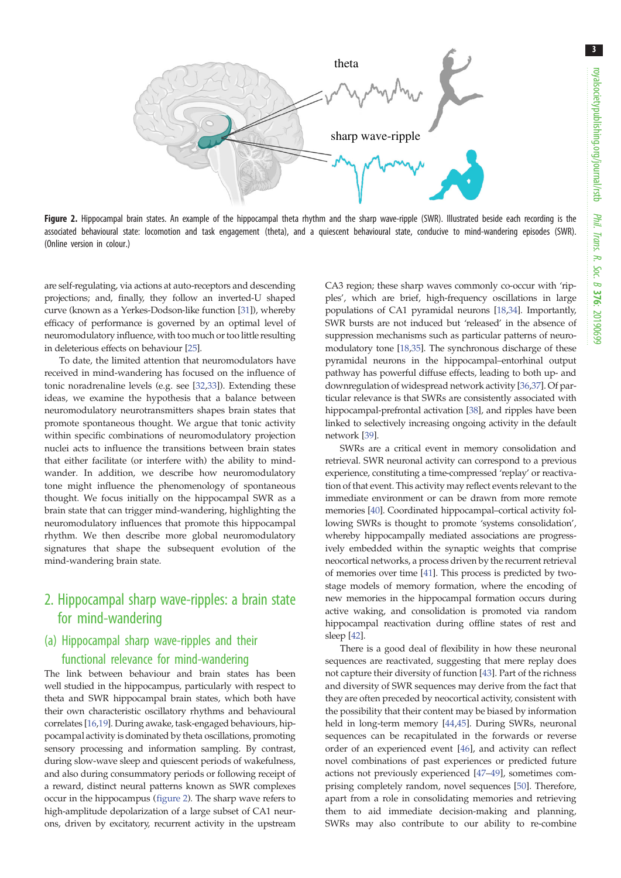

Figure 2. Hippocampal brain states. An example of the hippocampal theta rhythm and the sharp wave-ripple (SWR). Illustrated beside each recording is the associated behavioural state: locomotion and task engagement (theta), and a quiescent behavioural state, conducive to mind-wandering episodes (SWR). (Online version in colour.)

are self-regulating, via actions at auto-receptors and descending projections; and, finally, they follow an inverted-U shaped curve (known as a Yerkes-Dodson-like function [[31\]](#page-9-0)), whereby efficacy of performance is governed by an optimal level of neuromodulatory influence, with too much or too little resulting in deleterious effects on behaviour [\[25\]](#page-9-0).

To date, the limited attention that neuromodulators have received in mind-wandering has focused on the influence of tonic noradrenaline levels (e.g. see [[32,33\]](#page-9-0)). Extending these ideas, we examine the hypothesis that a balance between neuromodulatory neurotransmitters shapes brain states that promote spontaneous thought. We argue that tonic activity within specific combinations of neuromodulatory projection nuclei acts to influence the transitions between brain states that either facilitate (or interfere with) the ability to mindwander. In addition, we describe how neuromodulatory tone might influence the phenomenology of spontaneous thought. We focus initially on the hippocampal SWR as a brain state that can trigger mind-wandering, highlighting the neuromodulatory influences that promote this hippocampal rhythm. We then describe more global neuromodulatory signatures that shape the subsequent evolution of the mind-wandering brain state.

## 2. Hippocampal sharp wave-ripples: a brain state for mind-wandering

### (a) Hippocampal sharp wave-ripples and their functional relevance for mind-wandering

The link between behaviour and brain states has been well studied in the hippocampus, particularly with respect to theta and SWR hippocampal brain states, which both have their own characteristic oscillatory rhythms and behavioural correlates [[16](#page-9-0),[19](#page-9-0)]. During awake, task-engaged behaviours, hippocampal activity is dominated by theta oscillations, promoting sensory processing and information sampling. By contrast, during slow-wave sleep and quiescent periods of wakefulness, and also during consummatory periods or following receipt of a reward, distinct neural patterns known as SWR complexes occur in the hippocampus (figure 2). The sharp wave refers to high-amplitude depolarization of a large subset of CA1 neurons, driven by excitatory, recurrent activity in the upstream CA3 region; these sharp waves commonly co-occur with 'ripples', which are brief, high-frequency oscillations in large populations of CA1 pyramidal neurons [\[18,34](#page-9-0)]. Importantly, SWR bursts are not induced but 'released' in the absence of suppression mechanisms such as particular patterns of neuromodulatory tone [[18](#page-9-0),[35](#page-9-0)]. The synchronous discharge of these pyramidal neurons in the hippocampal–entorhinal output pathway has powerful diffuse effects, leading to both up- and downregulation of widespread network activity [[36,37\]](#page-9-0). Of particular relevance is that SWRs are consistently associated with hippocampal-prefrontal activation [[38\]](#page-9-0), and ripples have been linked to selectively increasing ongoing activity in the default network [[39](#page-9-0)].

SWRs are a critical event in memory consolidation and retrieval. SWR neuronal activity can correspond to a previous experience, constituting a time-compressed 'replay' or reactivation of that event. This activity may reflect events relevant to the immediate environment or can be drawn from more remote memories [\[40](#page-10-0)]. Coordinated hippocampal–cortical activity following SWRs is thought to promote 'systems consolidation', whereby hippocampally mediated associations are progressively embedded within the synaptic weights that comprise neocortical networks, a process driven by the recurrent retrieval of memories over time [\[41\]](#page-10-0). This process is predicted by twostage models of memory formation, where the encoding of new memories in the hippocampal formation occurs during active waking, and consolidation is promoted via random hippocampal reactivation during offline states of rest and sleep [[42\]](#page-10-0).

There is a good deal of flexibility in how these neuronal sequences are reactivated, suggesting that mere replay does not capture their diversity of function [[43\]](#page-10-0). Part of the richness and diversity of SWR sequences may derive from the fact that they are often preceded by neocortical activity, consistent with the possibility that their content may be biased by information held in long-term memory [[44,45](#page-10-0)]. During SWRs, neuronal sequences can be recapitulated in the forwards or reverse order of an experienced event [[46](#page-10-0)], and activity can reflect novel combinations of past experiences or predicted future actions not previously experienced [\[47](#page-10-0)–[49\]](#page-10-0), sometimes comprising completely random, novel sequences [[50\]](#page-10-0). Therefore, apart from a role in consolidating memories and retrieving them to aid immediate decision-making and planning, SWRs may also contribute to our ability to re-combine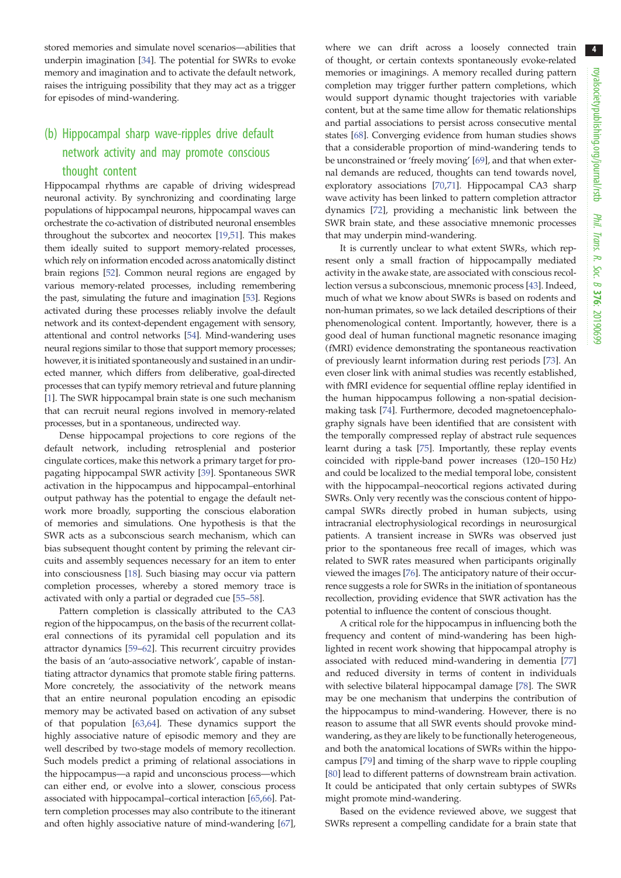stored memories and simulate novel scenarios—abilities that underpin imagination [[34\]](#page-9-0). The potential for SWRs to evoke memory and imagination and to activate the default network, raises the intriguing possibility that they may act as a trigger for episodes of mind-wandering.

## (b) Hippocampal sharp wave-ripples drive default network activity and may promote conscious thought content

Hippocampal rhythms are capable of driving widespread neuronal activity. By synchronizing and coordinating large populations of hippocampal neurons, hippocampal waves can orchestrate the co-activation of distributed neuronal ensembles throughout the subcortex and neocortex [[19](#page-9-0),[51](#page-10-0)]. This makes them ideally suited to support memory-related processes, which rely on information encoded across anatomically distinct brain regions [[52](#page-10-0)]. Common neural regions are engaged by various memory-related processes, including remembering the past, simulating the future and imagination [[53\]](#page-10-0). Regions activated during these processes reliably involve the default network and its context-dependent engagement with sensory, attentional and control networks [\[54](#page-10-0)]. Mind-wandering uses neural regions similar to those that support memory processes; however, it is initiated spontaneously and sustained in an undirected manner, which differs from deliberative, goal-directed processes that can typify memory retrieval and future planning [\[1\]](#page-9-0). The SWR hippocampal brain state is one such mechanism that can recruit neural regions involved in memory-related processes, but in a spontaneous, undirected way.

Dense hippocampal projections to core regions of the default network, including retrosplenial and posterior cingulate cortices, make this network a primary target for propagating hippocampal SWR activity [[39\]](#page-9-0). Spontaneous SWR activation in the hippocampus and hippocampal–entorhinal output pathway has the potential to engage the default network more broadly, supporting the conscious elaboration of memories and simulations. One hypothesis is that the SWR acts as a subconscious search mechanism, which can bias subsequent thought content by priming the relevant circuits and assembly sequences necessary for an item to enter into consciousness [[18\]](#page-9-0). Such biasing may occur via pattern completion processes, whereby a stored memory trace is activated with only a partial or degraded cue [\[55](#page-10-0)–[58\]](#page-10-0).

Pattern completion is classically attributed to the CA3 region of the hippocampus, on the basis of the recurrent collateral connections of its pyramidal cell population and its attractor dynamics [[59](#page-10-0)–[62](#page-10-0)]. This recurrent circuitry provides the basis of an 'auto-associative network', capable of instantiating attractor dynamics that promote stable firing patterns. More concretely, the associativity of the network means that an entire neuronal population encoding an episodic memory may be activated based on activation of any subset of that population [[63,64](#page-10-0)]. These dynamics support the highly associative nature of episodic memory and they are well described by two-stage models of memory recollection. Such models predict a priming of relational associations in the hippocampus—a rapid and unconscious process—which can either end, or evolve into a slower, conscious process associated with hippocampal–cortical interaction [\[65](#page-10-0),[66\]](#page-10-0). Pattern completion processes may also contribute to the itinerant and often highly associative nature of mind-wandering [\[67](#page-10-0)],

where we can drift across a loosely connected train of thought, or certain contexts spontaneously evoke-related memories or imaginings. A memory recalled during pattern completion may trigger further pattern completions, which would support dynamic thought trajectories with variable content, but at the same time allow for thematic relationships and partial associations to persist across consecutive mental states [\[68](#page-10-0)]. Converging evidence from human studies shows that a considerable proportion of mind-wandering tends to be unconstrained or 'freely moving' [[69\]](#page-10-0), and that when external demands are reduced, thoughts can tend towards novel, exploratory associations [\[70](#page-10-0),[71](#page-10-0)]. Hippocampal CA3 sharp wave activity has been linked to pattern completion attractor dynamics [[72\]](#page-10-0), providing a mechanistic link between the SWR brain state, and these associative mnemonic processes that may underpin mind-wandering.

It is currently unclear to what extent SWRs, which represent only a small fraction of hippocampally mediated activity in the awake state, are associated with conscious recollection versus a subconscious, mnemonic process [\[43](#page-10-0)]. Indeed, much of what we know about SWRs is based on rodents and non-human primates, so we lack detailed descriptions of their phenomenological content. Importantly, however, there is a good deal of human functional magnetic resonance imaging (fMRI) evidence demonstrating the spontaneous reactivation of previously learnt information during rest periods [[73\]](#page-10-0). An even closer link with animal studies was recently established, with fMRI evidence for sequential offline replay identified in the human hippocampus following a non-spatial decisionmaking task [[74\]](#page-10-0). Furthermore, decoded magnetoencephalography signals have been identified that are consistent with the temporally compressed replay of abstract rule sequences learnt during a task [[75](#page-10-0)]. Importantly, these replay events coincided with ripple-band power increases (120–150 Hz) and could be localized to the medial temporal lobe, consistent with the hippocampal–neocortical regions activated during SWRs. Only very recently was the conscious content of hippocampal SWRs directly probed in human subjects, using intracranial electrophysiological recordings in neurosurgical patients. A transient increase in SWRs was observed just prior to the spontaneous free recall of images, which was related to SWR rates measured when participants originally viewed the images [\[76](#page-10-0)]. The anticipatory nature of their occurrence suggests a role for SWRs in the initiation of spontaneous recollection, providing evidence that SWR activation has the potential to influence the content of conscious thought.

A critical role for the hippocampus in influencing both the frequency and content of mind-wandering has been highlighted in recent work showing that hippocampal atrophy is associated with reduced mind-wandering in dementia [[77\]](#page-10-0) and reduced diversity in terms of content in individuals with selective bilateral hippocampal damage [[78\]](#page-10-0). The SWR may be one mechanism that underpins the contribution of the hippocampus to mind-wandering. However, there is no reason to assume that all SWR events should provoke mindwandering, as they are likely to be functionally heterogeneous, and both the anatomical locations of SWRs within the hippocampus [[79\]](#page-10-0) and timing of the sharp wave to ripple coupling [[80\]](#page-10-0) lead to different patterns of downstream brain activation. It could be anticipated that only certain subtypes of SWRs might promote mind-wandering.

Based on the evidence reviewed above, we suggest that SWRs represent a compelling candidate for a brain state that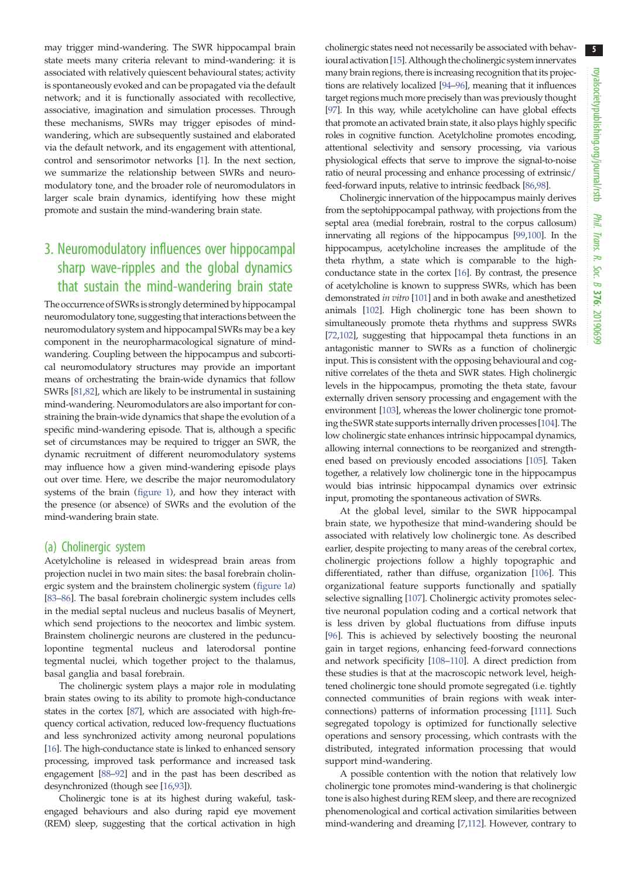may trigger mind-wandering. The SWR hippocampal brain state meets many criteria relevant to mind-wandering: it is associated with relatively quiescent behavioural states; activity is spontaneously evoked and can be propagated via the default network; and it is functionally associated with recollective, associative, imagination and simulation processes. Through these mechanisms, SWRs may trigger episodes of mindwandering, which are subsequently sustained and elaborated via the default network, and its engagement with attentional, control and sensorimotor networks [[1](#page-9-0)]. In the next section, we summarize the relationship between SWRs and neuromodulatory tone, and the broader role of neuromodulators in larger scale brain dynamics, identifying how these might promote and sustain the mind-wandering brain state.

# 3. Neuromodulatory influences over hippocampal sharp wave-ripples and the global dynamics that sustain the mind-wandering brain state

The occurrence of SWRsis strongly determined by hippocampal neuromodulatory tone, suggesting that interactions between the neuromodulatory system and hippocampal SWRs may be a key component in the neuropharmacological signature of mindwandering. Coupling between the hippocampus and subcortical neuromodulatory structures may provide an important means of orchestrating the brain-wide dynamics that follow SWRs [[81,82\]](#page-10-0), which are likely to be instrumental in sustaining mind-wandering. Neuromodulators are also important for constraining the brain-wide dynamics that shape the evolution of a specific mind-wandering episode. That is, although a specific set of circumstances may be required to trigger an SWR, the dynamic recruitment of different neuromodulatory systems may influence how a given mind-wandering episode plays out over time. Here, we describe the major neuromodulatory systems of the brain [\(figure 1](#page-1-0)), and how they interact with the presence (or absence) of SWRs and the evolution of the mind-wandering brain state.

#### (a) Cholinergic system

Acetylcholine is released in widespread brain areas from projection nuclei in two main sites: the basal forebrain cholinergic system and the brainstem cholinergic system ([figure 1](#page-1-0)a) [\[83](#page-10-0)–[86\]](#page-11-0). The basal forebrain cholinergic system includes cells in the medial septal nucleus and nucleus basalis of Meynert, which send projections to the neocortex and limbic system. Brainstem cholinergic neurons are clustered in the pedunculopontine tegmental nucleus and laterodorsal pontine tegmental nuclei, which together project to the thalamus, basal ganglia and basal forebrain.

The cholinergic system plays a major role in modulating brain states owing to its ability to promote high-conductance states in the cortex [[87](#page-11-0)], which are associated with high-frequency cortical activation, reduced low-frequency fluctuations and less synchronized activity among neuronal populations [\[16](#page-9-0)]. The high-conductance state is linked to enhanced sensory processing, improved task performance and increased task engagement [\[88](#page-11-0)–[92](#page-11-0)] and in the past has been described as desynchronized (though see [[16](#page-9-0),[93](#page-11-0)]).

Cholinergic tone is at its highest during wakeful, taskengaged behaviours and also during rapid eye movement (REM) sleep, suggesting that the cortical activation in high

cholinergic states need not necessarily be associated with behavioural activation [[15](#page-9-0)]. Although the cholinergic systeminnervates many brain regions, there is increasing recognition that its projections are relatively localized [\[94](#page-11-0)–[96\]](#page-11-0), meaning that it influences target regions much more precisely than was previously thought [[97](#page-11-0)]. In this way, while acetylcholine can have global effects that promote an activated brain state, it also plays highly specific roles in cognitive function. Acetylcholine promotes encoding, attentional selectivity and sensory processing, via various physiological effects that serve to improve the signal-to-noise ratio of neural processing and enhance processing of extrinsic/ feed-forward inputs, relative to intrinsic feedback [[86,98](#page-11-0)].

Cholinergic innervation of the hippocampus mainly derives from the septohippocampal pathway, with projections from the septal area (medial forebrain, rostral to the corpus callosum) innervating all regions of the hippocampus [[99,100\]](#page-11-0). In the hippocampus, acetylcholine increases the amplitude of the theta rhythm, a state which is comparable to the highconductance state in the cortex [[16](#page-9-0)]. By contrast, the presence of acetylcholine is known to suppress SWRs, which has been demonstrated in vitro [\[101](#page-11-0)] and in both awake and anesthetized animals [[102\]](#page-11-0). High cholinergic tone has been shown to simultaneously promote theta rhythms and suppress SWRs [[72](#page-10-0)[,102\]](#page-11-0), suggesting that hippocampal theta functions in an antagonistic manner to SWRs as a function of cholinergic input. This is consistent with the opposing behavioural and cognitive correlates of the theta and SWR states. High cholinergic levels in the hippocampus, promoting the theta state, favour externally driven sensory processing and engagement with the environment [\[103](#page-11-0)], whereas the lower cholinergic tone promoting the SWR state supports internally driven processes [[104\]](#page-11-0). The low cholinergic state enhances intrinsic hippocampal dynamics, allowing internal connections to be reorganized and strengthened based on previously encoded associations [\[105](#page-11-0)]. Taken together, a relatively low cholinergic tone in the hippocampus would bias intrinsic hippocampal dynamics over extrinsic input, promoting the spontaneous activation of SWRs.

At the global level, similar to the SWR hippocampal brain state, we hypothesize that mind-wandering should be associated with relatively low cholinergic tone. As described earlier, despite projecting to many areas of the cerebral cortex, cholinergic projections follow a highly topographic and differentiated, rather than diffuse, organization [[106](#page-11-0)]. This organizational feature supports functionally and spatially selective signalling [\[107\]](#page-11-0). Cholinergic activity promotes selective neuronal population coding and a cortical network that is less driven by global fluctuations from diffuse inputs [[96\]](#page-11-0). This is achieved by selectively boosting the neuronal gain in target regions, enhancing feed-forward connections and network specificity [\[108](#page-11-0)–[110](#page-11-0)]. A direct prediction from these studies is that at the macroscopic network level, heightened cholinergic tone should promote segregated (i.e. tightly connected communities of brain regions with weak interconnections) patterns of information processing [\[111\]](#page-11-0). Such segregated topology is optimized for functionally selective operations and sensory processing, which contrasts with the distributed, integrated information processing that would support mind-wandering.

A possible contention with the notion that relatively low cholinergic tone promotes mind-wandering is that cholinergic tone is also highest during REM sleep, and there are recognized phenomenological and cortical activation similarities between mind-wandering and dreaming [[7](#page-9-0)[,112](#page-11-0)]. However, contrary to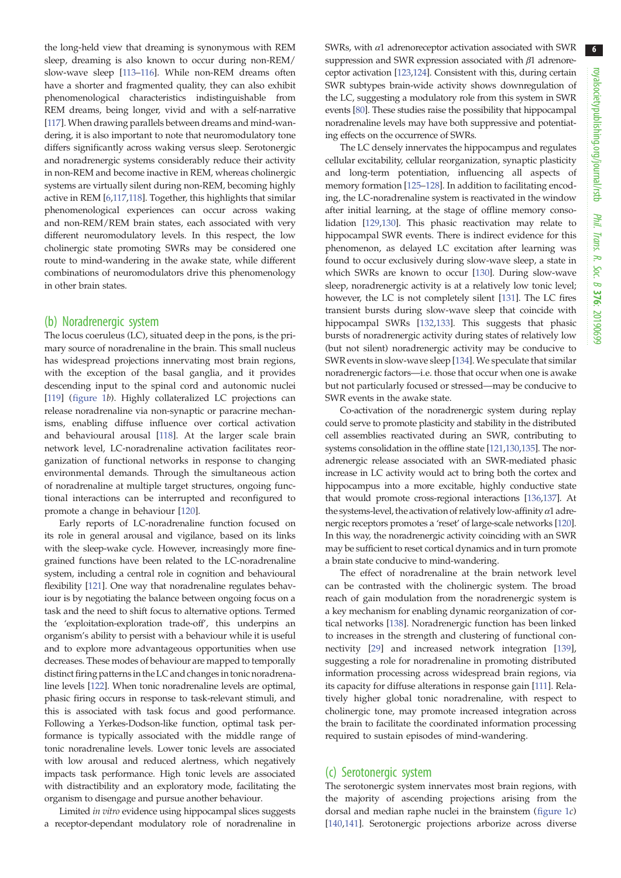the long-held view that dreaming is synonymous with REM sleep, dreaming is also known to occur during non-REM/ slow-wave sleep [\[113](#page-11-0)–[116\]](#page-11-0). While non-REM dreams often have a shorter and fragmented quality, they can also exhibit phenomenological characteristics indistinguishable from REM dreams, being longer, vivid and with a self-narrative [\[117](#page-11-0)]. When drawing parallels between dreams and mind-wandering, it is also important to note that neuromodulatory tone differs significantly across waking versus sleep. Serotonergic and noradrenergic systems considerably reduce their activity in non-REM and become inactive in REM, whereas cholinergic systems are virtually silent during non-REM, becoming highly active in REM [[6](#page-9-0)[,117,118](#page-11-0)]. Together, this highlights that similar phenomenological experiences can occur across waking and non-REM/REM brain states, each associated with very different neuromodulatory levels. In this respect, the low cholinergic state promoting SWRs may be considered one route to mind-wandering in the awake state, while different combinations of neuromodulators drive this phenomenology in other brain states.

#### (b) Noradrenergic system

The locus coeruleus (LC), situated deep in the pons, is the primary source of noradrenaline in the brain. This small nucleus has widespread projections innervating most brain regions, with the exception of the basal ganglia, and it provides descending input to the spinal cord and autonomic nuclei [\[119](#page-11-0)] [\(figure 1](#page-1-0)b). Highly collateralized LC projections can release noradrenaline via non-synaptic or paracrine mechanisms, enabling diffuse influence over cortical activation and behavioural arousal [[118\]](#page-11-0). At the larger scale brain network level, LC-noradrenaline activation facilitates reorganization of functional networks in response to changing environmental demands. Through the simultaneous action of noradrenaline at multiple target structures, ongoing functional interactions can be interrupted and reconfigured to promote a change in behaviour [[120](#page-11-0)].

Early reports of LC-noradrenaline function focused on its role in general arousal and vigilance, based on its links with the sleep-wake cycle. However, increasingly more finegrained functions have been related to the LC-noradrenaline system, including a central role in cognition and behavioural flexibility [[121\]](#page-11-0). One way that noradrenaline regulates behaviour is by negotiating the balance between ongoing focus on a task and the need to shift focus to alternative options. Termed the 'exploitation-exploration trade-off', this underpins an organism's ability to persist with a behaviour while it is useful and to explore more advantageous opportunities when use decreases. These modes of behaviour are mapped to temporally distinct firing patterns in the LC and changes in tonic noradrenaline levels [[122\]](#page-11-0). When tonic noradrenaline levels are optimal, phasic firing occurs in response to task-relevant stimuli, and this is associated with task focus and good performance. Following a Yerkes-Dodson-like function, optimal task performance is typically associated with the middle range of tonic noradrenaline levels. Lower tonic levels are associated with low arousal and reduced alertness, which negatively impacts task performance. High tonic levels are associated with distractibility and an exploratory mode, facilitating the organism to disengage and pursue another behaviour.

Limited in vitro evidence using hippocampal slices suggests a receptor-dependant modulatory role of noradrenaline in SWRs, with  $\alpha$ 1 adrenoreceptor activation associated with SWR suppression and SWR expression associated with β1 adrenoreceptor activation [[123,124](#page-11-0)]. Consistent with this, during certain SWR subtypes brain-wide activity shows downregulation of the LC, suggesting a modulatory role from this system in SWR events [\[80\]](#page-10-0). These studies raise the possibility that hippocampal noradrenaline levels may have both suppressive and potentiating effects on the occurrence of SWRs.

The LC densely innervates the hippocampus and regulates cellular excitability, cellular reorganization, synaptic plasticity and long-term potentiation, influencing all aspects of memory formation [\[125](#page-11-0)–[128](#page-12-0)]. In addition to facilitating encoding, the LC-noradrenaline system is reactivated in the window after initial learning, at the stage of offline memory consolidation [\[129,130](#page-12-0)]. This phasic reactivation may relate to hippocampal SWR events. There is indirect evidence for this phenomenon, as delayed LC excitation after learning was found to occur exclusively during slow-wave sleep, a state in which SWRs are known to occur [[130](#page-12-0)]. During slow-wave sleep, noradrenergic activity is at a relatively low tonic level; however, the LC is not completely silent [\[131](#page-12-0)]. The LC fires transient bursts during slow-wave sleep that coincide with hippocampal SWRs [[132,133](#page-12-0)]. This suggests that phasic bursts of noradrenergic activity during states of relatively low (but not silent) noradrenergic activity may be conducive to SWR events in slow-wave sleep [[134\]](#page-12-0). We speculate that similar noradrenergic factors—i.e. those that occur when one is awake but not particularly focused or stressed—may be conducive to SWR events in the awake state.

Co-activation of the noradrenergic system during replay could serve to promote plasticity and stability in the distributed cell assemblies reactivated during an SWR, contributing to systems consolidation in the offline state [\[121,](#page-11-0)[130,135](#page-12-0)]. The noradrenergic release associated with an SWR-mediated phasic increase in LC activity would act to bring both the cortex and hippocampus into a more excitable, highly conductive state that would promote cross-regional interactions [\[136,137\]](#page-12-0). At the systems-level, the activation of relatively low-affinity  $\alpha$ 1 adrenergic receptors promotes a 'reset' of large-scale networks [[120\]](#page-11-0). In this way, the noradrenergic activity coinciding with an SWR may be sufficient to reset cortical dynamics and in turn promote a brain state conducive to mind-wandering.

The effect of noradrenaline at the brain network level can be contrasted with the cholinergic system. The broad reach of gain modulation from the noradrenergic system is a key mechanism for enabling dynamic reorganization of cortical networks [\[138\]](#page-12-0). Noradrenergic function has been linked to increases in the strength and clustering of functional connectivity [[29\]](#page-9-0) and increased network integration [\[139\]](#page-12-0), suggesting a role for noradrenaline in promoting distributed information processing across widespread brain regions, via its capacity for diffuse alterations in response gain [[111](#page-11-0)]. Relatively higher global tonic noradrenaline, with respect to cholinergic tone, may promote increased integration across the brain to facilitate the coordinated information processing required to sustain episodes of mind-wandering.

### (c) Serotonergic system

The serotonergic system innervates most brain regions, with the majority of ascending projections arising from the dorsal and median raphe nuclei in the brainstem ([figure 1](#page-1-0)c) [[140,141\]](#page-12-0). Serotonergic projections arborize across diverse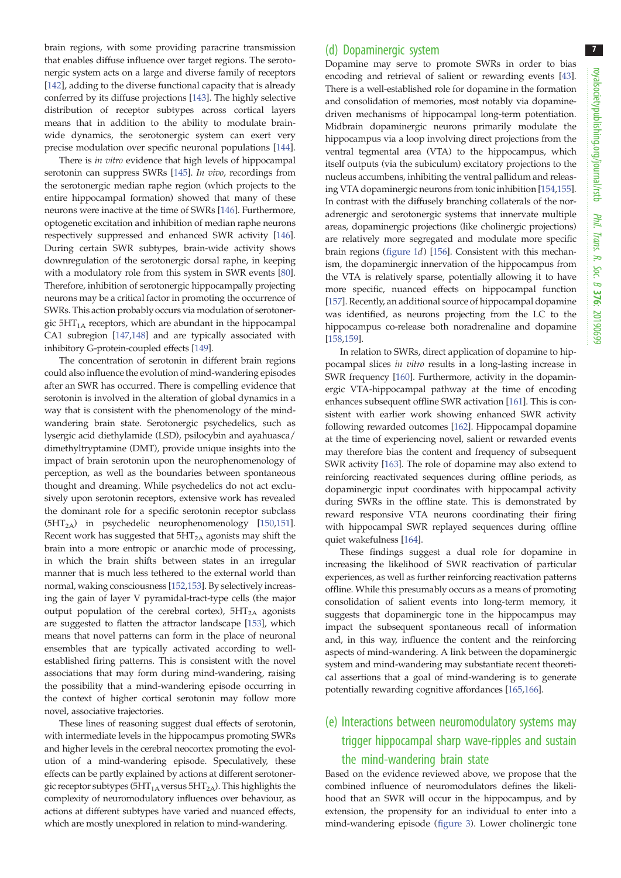brain regions, with some providing paracrine transmission that enables diffuse influence over target regions. The serotonergic system acts on a large and diverse family of receptors [\[142\]](#page-12-0), adding to the diverse functional capacity that is already conferred by its diffuse projections [\[143\]](#page-12-0). The highly selective distribution of receptor subtypes across cortical layers means that in addition to the ability to modulate brainwide dynamics, the serotonergic system can exert very precise modulation over specific neuronal populations [[144](#page-12-0)].

There is in vitro evidence that high levels of hippocampal serotonin can suppress SWRs [\[145\]](#page-12-0). In vivo, recordings from the serotonergic median raphe region (which projects to the entire hippocampal formation) showed that many of these neurons were inactive at the time of SWRs [\[146\]](#page-12-0). Furthermore, optogenetic excitation and inhibition of median raphe neurons respectively suppressed and enhanced SWR activity [\[146](#page-12-0)]. During certain SWR subtypes, brain-wide activity shows downregulation of the serotonergic dorsal raphe, in keeping with a modulatory role from this system in SWR events [\[80](#page-10-0)]. Therefore, inhibition of serotonergic hippocampally projecting neurons may be a critical factor in promoting the occurrence of SWRs. This action probably occurs via modulation of serotonergic  $5HT<sub>1A</sub>$  receptors, which are abundant in the hippocampal CA1 subregion [[147,148](#page-12-0)] and are typically associated with inhibitory G-protein-coupled effects [[149\]](#page-12-0).

The concentration of serotonin in different brain regions could also influence the evolution of mind-wandering episodes after an SWR has occurred. There is compelling evidence that serotonin is involved in the alteration of global dynamics in a way that is consistent with the phenomenology of the mindwandering brain state. Serotonergic psychedelics, such as lysergic acid diethylamide (LSD), psilocybin and ayahuasca/ dimethyltryptamine (DMT), provide unique insights into the impact of brain serotonin upon the neurophenomenology of perception, as well as the boundaries between spontaneous thought and dreaming. While psychedelics do not act exclusively upon serotonin receptors, extensive work has revealed the dominant role for a specific serotonin receptor subclass  $(5HT<sub>2A</sub>)$  in psychedelic neurophenomenology [\[150,151](#page-12-0)]. Recent work has suggested that  $5HT<sub>2A</sub>$  agonists may shift the brain into a more entropic or anarchic mode of processing, in which the brain shifts between states in an irregular manner that is much less tethered to the external world than normal, waking consciousness [\[152,153](#page-12-0)]. By selectively increasing the gain of layer V pyramidal-tract-type cells (the major output population of the cerebral cortex),  $5HT_{2A}$  agonists are suggested to flatten the attractor landscape [\[153\]](#page-12-0), which means that novel patterns can form in the place of neuronal ensembles that are typically activated according to wellestablished firing patterns. This is consistent with the novel associations that may form during mind-wandering, raising the possibility that a mind-wandering episode occurring in the context of higher cortical serotonin may follow more novel, associative trajectories.

These lines of reasoning suggest dual effects of serotonin, with intermediate levels in the hippocampus promoting SWRs and higher levels in the cerebral neocortex promoting the evolution of a mind-wandering episode. Speculatively, these effects can be partly explained by actions at different serotonergic receptor subtypes ( $5HT<sub>1A</sub>$  versus  $5HT<sub>2A</sub>$ ). This highlights the complexity of neuromodulatory influences over behaviour, as actions at different subtypes have varied and nuanced effects, which are mostly unexplored in relation to mind-wandering.

### (d) Dopaminergic system

Dopamine may serve to promote SWRs in order to bias encoding and retrieval of salient or rewarding events [[43\]](#page-10-0). There is a well-established role for dopamine in the formation and consolidation of memories, most notably via dopaminedriven mechanisms of hippocampal long-term potentiation. Midbrain dopaminergic neurons primarily modulate the hippocampus via a loop involving direct projections from the ventral tegmental area (VTA) to the hippocampus, which itself outputs (via the subiculum) excitatory projections to the nucleus accumbens, inhibiting the ventral pallidum and releasing VTA dopaminergic neurons from tonic inhibition [[154,155\]](#page-12-0). In contrast with the diffusely branching collaterals of the noradrenergic and serotonergic systems that innervate multiple areas, dopaminergic projections (like cholinergic projections) are relatively more segregated and modulate more specific brain regions ([figure 1](#page-1-0)d) [\[156\]](#page-12-0). Consistent with this mechanism, the dopaminergic innervation of the hippocampus from the VTA is relatively sparse, potentially allowing it to have more specific, nuanced effects on hippocampal function [[157](#page-12-0)]. Recently, an additional source of hippocampal dopamine was identified, as neurons projecting from the LC to the hippocampus co-release both noradrenaline and dopamine [[158,159\]](#page-12-0).

In relation to SWRs, direct application of dopamine to hippocampal slices in vitro results in a long-lasting increase in SWR frequency [[160\]](#page-12-0). Furthermore, activity in the dopaminergic VTA-hippocampal pathway at the time of encoding enhances subsequent offline SWR activation [\[161](#page-12-0)]. This is consistent with earlier work showing enhanced SWR activity following rewarded outcomes [\[162\]](#page-12-0). Hippocampal dopamine at the time of experiencing novel, salient or rewarded events may therefore bias the content and frequency of subsequent SWR activity [[163](#page-12-0)]. The role of dopamine may also extend to reinforcing reactivated sequences during offline periods, as dopaminergic input coordinates with hippocampal activity during SWRs in the offline state. This is demonstrated by reward responsive VTA neurons coordinating their firing with hippocampal SWR replayed sequences during offline quiet wakefulness [\[164\]](#page-12-0).

These findings suggest a dual role for dopamine in increasing the likelihood of SWR reactivation of particular experiences, as well as further reinforcing reactivation patterns offline. While this presumably occurs as a means of promoting consolidation of salient events into long-term memory, it suggests that dopaminergic tone in the hippocampus may impact the subsequent spontaneous recall of information and, in this way, influence the content and the reinforcing aspects of mind-wandering. A link between the dopaminergic system and mind-wandering may substantiate recent theoretical assertions that a goal of mind-wandering is to generate potentially rewarding cognitive affordances [\[165,166](#page-12-0)].

### (e) Interactions between neuromodulatory systems may trigger hippocampal sharp wave-ripples and sustain the mind-wandering brain state

Based on the evidence reviewed above, we propose that the combined influence of neuromodulators defines the likelihood that an SWR will occur in the hippocampus, and by extension, the propensity for an individual to enter into a mind-wandering episode [\(figure 3](#page-7-0)). Lower cholinergic tone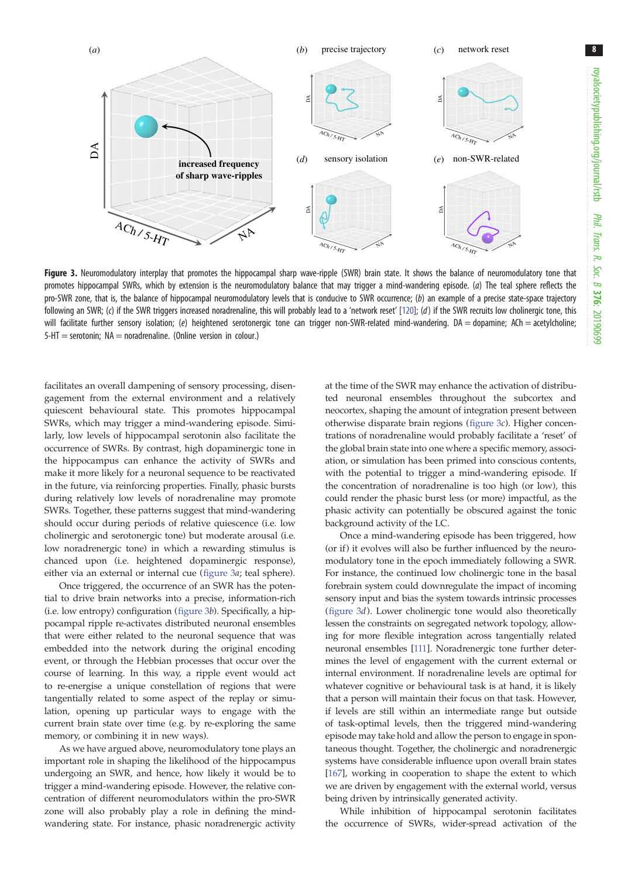<span id="page-7-0"></span>

Figure 3. Neuromodulatory interplay that promotes the hippocampal sharp wave-ripple (SWR) brain state. It shows the balance of neuromodulatory tone that promotes hippocampal SWRs, which by extension is the neuromodulatory balance that may trigger a mind-wandering episode. (a) The teal sphere reflects the pro-SWR zone, that is, the balance of hippocampal neuromodulatory levels that is conducive to SWR occurrence; (b) an example of a precise state-space trajectory following an SWR; (c) if the SWR triggers increased noradrenaline, this will probably lead to a 'network reset' [\[120\]](#page-11-0); (d) if the SWR recruits low cholinergic tone, this will facilitate further sensory isolation; (e) heightened serotonergic tone can trigger non-SWR-related mind-wandering. DA = dopamine; ACh = acetylcholine;  $5-HT$  = serotonin;  $NA$  = noradrenaline. (Online version in colour.)

facilitates an overall dampening of sensory processing, disengagement from the external environment and a relatively quiescent behavioural state. This promotes hippocampal SWRs, which may trigger a mind-wandering episode. Similarly, low levels of hippocampal serotonin also facilitate the occurrence of SWRs. By contrast, high dopaminergic tone in the hippocampus can enhance the activity of SWRs and make it more likely for a neuronal sequence to be reactivated in the future, via reinforcing properties. Finally, phasic bursts during relatively low levels of noradrenaline may promote SWRs. Together, these patterns suggest that mind-wandering should occur during periods of relative quiescence (i.e. low cholinergic and serotonergic tone) but moderate arousal (i.e. low noradrenergic tone) in which a rewarding stimulus is chanced upon (i.e. heightened dopaminergic response), either via an external or internal cue (figure 3a; teal sphere).

Once triggered, the occurrence of an SWR has the potential to drive brain networks into a precise, information-rich (i.e. low entropy) configuration (figure  $3b$ ). Specifically, a hippocampal ripple re-activates distributed neuronal ensembles that were either related to the neuronal sequence that was embedded into the network during the original encoding event, or through the Hebbian processes that occur over the course of learning. In this way, a ripple event would act to re-energise a unique constellation of regions that were tangentially related to some aspect of the replay or simulation, opening up particular ways to engage with the current brain state over time (e.g. by re-exploring the same memory, or combining it in new ways).

As we have argued above, neuromodulatory tone plays an important role in shaping the likelihood of the hippocampus undergoing an SWR, and hence, how likely it would be to trigger a mind-wandering episode. However, the relative concentration of different neuromodulators within the pro-SWR zone will also probably play a role in defining the mindwandering state. For instance, phasic noradrenergic activity at the time of the SWR may enhance the activation of distributed neuronal ensembles throughout the subcortex and neocortex, shaping the amount of integration present between otherwise disparate brain regions (figure 3c). Higher concentrations of noradrenaline would probably facilitate a 'reset' of the global brain state into one where a specific memory, association, or simulation has been primed into conscious contents, with the potential to trigger a mind-wandering episode. If the concentration of noradrenaline is too high (or low), this could render the phasic burst less (or more) impactful, as the phasic activity can potentially be obscured against the tonic background activity of the LC.

Once a mind-wandering episode has been triggered, how (or if) it evolves will also be further influenced by the neuromodulatory tone in the epoch immediately following a SWR. For instance, the continued low cholinergic tone in the basal forebrain system could downregulate the impact of incoming sensory input and bias the system towards intrinsic processes (figure 3d). Lower cholinergic tone would also theoretically lessen the constraints on segregated network topology, allowing for more flexible integration across tangentially related neuronal ensembles [[111](#page-11-0)]. Noradrenergic tone further determines the level of engagement with the current external or internal environment. If noradrenaline levels are optimal for whatever cognitive or behavioural task is at hand, it is likely that a person will maintain their focus on that task. However, if levels are still within an intermediate range but outside of task-optimal levels, then the triggered mind-wandering episode may take hold and allow the person to engage in spontaneous thought. Together, the cholinergic and noradrenergic systems have considerable influence upon overall brain states [[167](#page-12-0)], working in cooperation to shape the extent to which we are driven by engagement with the external world, versus being driven by intrinsically generated activity.

While inhibition of hippocampal serotonin facilitates the occurrence of SWRs, wider-spread activation of the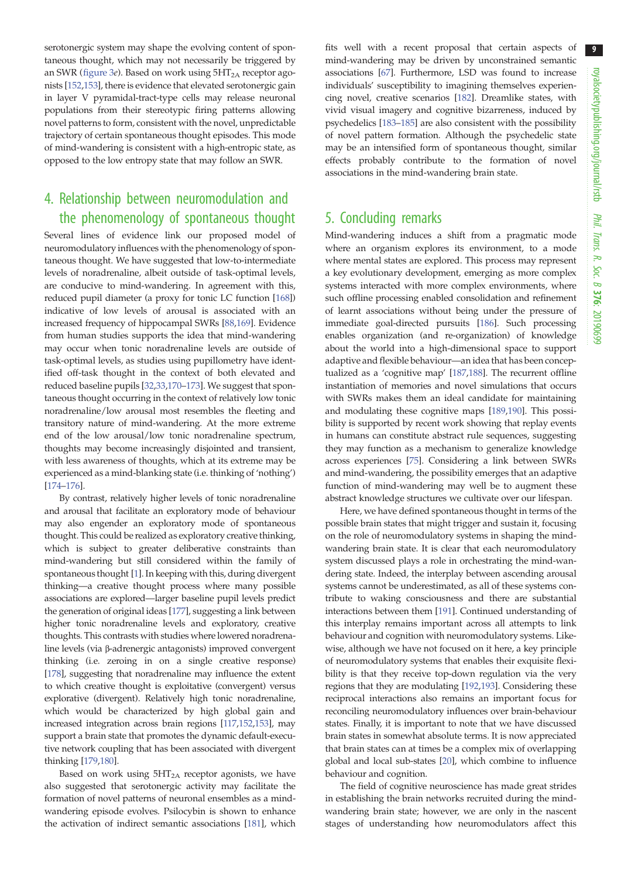serotonergic system may shape the evolving content of spontaneous thought, which may not necessarily be triggered by an SWR [\(figure 3](#page-7-0)e). Based on work using  $5HT<sub>2A</sub>$  receptor agonists [[152,153\]](#page-12-0), there is evidence that elevated serotonergic gain in layer V pyramidal-tract-type cells may release neuronal populations from their stereotypic firing patterns allowing novel patterns to form, consistent with the novel, unpredictable trajectory of certain spontaneous thought episodes. This mode of mind-wandering is consistent with a high-entropic state, as opposed to the low entropy state that may follow an SWR.

## 4. Relationship between neuromodulation and the phenomenology of spontaneous thought

Several lines of evidence link our proposed model of neuromodulatory influences with the phenomenology of spontaneous thought. We have suggested that low-to-intermediate levels of noradrenaline, albeit outside of task-optimal levels, are conducive to mind-wandering. In agreement with this, reduced pupil diameter (a proxy for tonic LC function [\[168\]](#page-12-0)) indicative of low levels of arousal is associated with an increased frequency of hippocampal SWRs [[88,](#page-11-0)[169](#page-12-0)]. Evidence from human studies supports the idea that mind-wandering may occur when tonic noradrenaline levels are outside of task-optimal levels, as studies using pupillometry have identified off-task thought in the context of both elevated and reduced baseline pupils [[32](#page-9-0),[33,](#page-9-0)[170](#page-12-0)–[173\]](#page-13-0). We suggest that spontaneous thought occurring in the context of relatively low tonic noradrenaline/low arousal most resembles the fleeting and transitory nature of mind-wandering. At the more extreme end of the low arousal/low tonic noradrenaline spectrum, thoughts may become increasingly disjointed and transient, with less awareness of thoughts, which at its extreme may be experienced as a mind-blanking state (i.e. thinking of 'nothing') [\[174](#page-13-0)–[176\]](#page-13-0).

By contrast, relatively higher levels of tonic noradrenaline and arousal that facilitate an exploratory mode of behaviour may also engender an exploratory mode of spontaneous thought. This could be realized as exploratory creative thinking, which is subject to greater deliberative constraints than mind-wandering but still considered within the family of spontaneous thought [\[1\]](#page-9-0). In keeping with this, during divergent thinking—a creative thought process where many possible associations are explored—larger baseline pupil levels predict the generation of original ideas [[177\]](#page-13-0), suggesting a link between higher tonic noradrenaline levels and exploratory, creative thoughts. This contrasts with studies where lowered noradrenaline levels (via β-adrenergic antagonists) improved convergent thinking (i.e. zeroing in on a single creative response) [\[178\]](#page-13-0), suggesting that noradrenaline may influence the extent to which creative thought is exploitative (convergent) versus explorative (divergent). Relatively high tonic noradrenaline, which would be characterized by high global gain and increased integration across brain regions [\[117](#page-11-0)[,152,153\]](#page-12-0), may support a brain state that promotes the dynamic default-executive network coupling that has been associated with divergent thinking [[179,180](#page-13-0)].

Based on work using  $5HT<sub>2A</sub>$  receptor agonists, we have also suggested that serotonergic activity may facilitate the formation of novel patterns of neuronal ensembles as a mindwandering episode evolves. Psilocybin is shown to enhance the activation of indirect semantic associations [\[181](#page-13-0)], which

fits well with a recent proposal that certain aspects of mind-wandering may be driven by unconstrained semantic associations [\[67](#page-10-0)]. Furthermore, LSD was found to increase individuals' susceptibility to imagining themselves experiencing novel, creative scenarios [[182\]](#page-13-0). Dreamlike states, with vivid visual imagery and cognitive bizarreness, induced by psychedelics [\[183](#page-13-0)–[185\]](#page-13-0) are also consistent with the possibility of novel pattern formation. Although the psychedelic state may be an intensified form of spontaneous thought, similar effects probably contribute to the formation of novel associations in the mind-wandering brain state.

### 5. Concluding remarks

Mind-wandering induces a shift from a pragmatic mode where an organism explores its environment, to a mode where mental states are explored. This process may represent a key evolutionary development, emerging as more complex systems interacted with more complex environments, where such offline processing enabled consolidation and refinement of learnt associations without being under the pressure of immediate goal-directed pursuits [\[186](#page-13-0)]. Such processing enables organization (and re-organization) of knowledge about the world into a high-dimensional space to support adaptive and flexible behaviour—an idea that has been conceptualized as a 'cognitive map' [[187,188\]](#page-13-0). The recurrent offline instantiation of memories and novel simulations that occurs with SWRs makes them an ideal candidate for maintaining and modulating these cognitive maps [\[189,190](#page-13-0)]. This possibility is supported by recent work showing that replay events in humans can constitute abstract rule sequences, suggesting they may function as a mechanism to generalize knowledge across experiences [\[75](#page-10-0)]. Considering a link between SWRs and mind-wandering, the possibility emerges that an adaptive function of mind-wandering may well be to augment these abstract knowledge structures we cultivate over our lifespan.

Here, we have defined spontaneous thought in terms of the possible brain states that might trigger and sustain it, focusing on the role of neuromodulatory systems in shaping the mindwandering brain state. It is clear that each neuromodulatory system discussed plays a role in orchestrating the mind-wandering state. Indeed, the interplay between ascending arousal systems cannot be underestimated, as all of these systems contribute to waking consciousness and there are substantial interactions between them [\[191](#page-13-0)]. Continued understanding of this interplay remains important across all attempts to link behaviour and cognition with neuromodulatory systems. Likewise, although we have not focused on it here, a key principle of neuromodulatory systems that enables their exquisite flexibility is that they receive top-down regulation via the very regions that they are modulating [[192,193](#page-13-0)]. Considering these reciprocal interactions also remains an important focus for reconciling neuromodulatory influences over brain-behaviour states. Finally, it is important to note that we have discussed brain states in somewhat absolute terms. It is now appreciated that brain states can at times be a complex mix of overlapping global and local sub-states [\[20](#page-9-0)], which combine to influence behaviour and cognition.

The field of cognitive neuroscience has made great strides in establishing the brain networks recruited during the mindwandering brain state; however, we are only in the nascent stages of understanding how neuromodulators affect this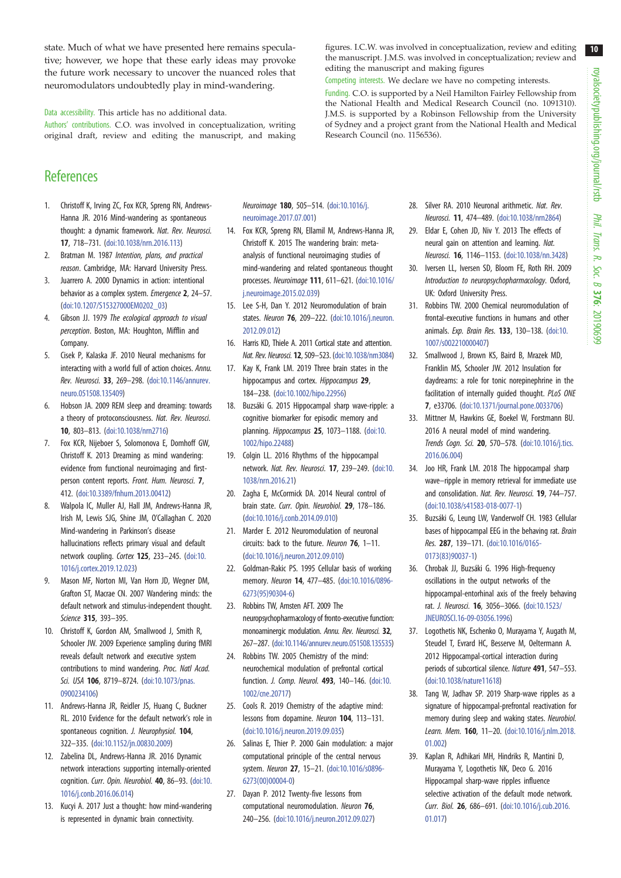<span id="page-9-0"></span>state. Much of what we have presented here remains speculative; however, we hope that these early ideas may provoke the future work necessary to uncover the nuanced roles that neuromodulators undoubtedly play in mind-wandering.

Data accessibility. This article has no additional data.

Authors' contributions. C.O. was involved in conceptualization, writing original draft, review and editing the manuscript, and making figures. I.C.W. was involved in conceptualization, review and editing the manuscript. J.M.S. was involved in conceptualization; review and editing the manuscript and making figures

Competing interests. We declare we have no competing interests.

Funding. C.O. is supported by a Neil Hamilton Fairley Fellowship from the National Health and Medical Research Council (no. 1091310). J.M.S. is supported by a Robinson Fellowship from the University of Sydney and a project grant from the National Health and Medical Research Council (no. 1156536).

### **References**

- 1. Christoff K, Irving ZC, Fox KCR, Spreng RN, Andrews-Hanna JR. 2016 Mind-wandering as spontaneous thought: a dynamic framework. Nat. Rev. Neurosci. 17, 718–731. ([doi:10.1038/nrn.2016.113\)](http://dx.doi.org/10.1038/nrn.2016.113)
- 2. Bratman M. 1987 Intention, plans, and practical reason. Cambridge, MA: Harvard University Press.
- 3. Juarrero A. 2000 Dynamics in action: intentional behavior as a complex system. Emergence 2, 24–57. [\(doi:10.1207/S15327000EM0202\\_03](http://dx.doi.org/10.1207/S15327000EM0202_03))
- 4. Gibson JJ. 1979 The ecological approach to visual perception. Boston, MA: Houghton, Mifflin and Company.
- 5. Cisek P, Kalaska JF. 2010 Neural mechanisms for interacting with a world full of action choices. Annu. Rev. Neurosci. 33, 269–298. [\(doi:10.1146/annurev.](http://dx.doi.org/10.1146/annurev.neuro.051508.135409) [neuro.051508.135409\)](http://dx.doi.org/10.1146/annurev.neuro.051508.135409)
- 6. Hobson JA. 2009 REM sleep and dreaming: towards a theory of protoconsciousness. Nat. Rev. Neurosci. 10, 803–813. ([doi:10.1038/nrn2716](http://dx.doi.org/10.1038/nrn2716))
- 7. Fox KCR, Nijeboer S, Solomonova E, Domhoff GW, Christoff K. 2013 Dreaming as mind wandering: evidence from functional neuroimaging and firstperson content reports. Front. Hum. Neurosci. 7, 412. [\(doi:10.3389/fnhum.2013.00412\)](http://dx.doi.org/10.3389/fnhum.2013.00412)
- 8. Walpola IC, Muller AJ, Hall JM, Andrews-Hanna JR, Irish M, Lewis SJG, Shine JM, O'Callaghan C. 2020 Mind-wandering in Parkinson's disease hallucinations reflects primary visual and default network coupling. Cortex 125, 233–245. ([doi:10.](http://dx.doi.org/10.1016/j.cortex.2019.12.023) [1016/j.cortex.2019.12.023](http://dx.doi.org/10.1016/j.cortex.2019.12.023))
- 9. Mason MF, Norton MI, Van Horn JD, Wegner DM, Grafton ST, Macrae CN. 2007 Wandering minds: the default network and stimulus-independent thought. Science 315, 393–395.
- 10. Christoff K, Gordon AM, Smallwood J, Smith R, Schooler JW. 2009 Experience sampling during fMRI reveals default network and executive system contributions to mind wandering. Proc. Natl Acad. Sci. USA 106, 8719-8724. ([doi:10.1073/pnas.](http://dx.doi.org/10.1073/pnas.0900234106) [0900234106\)](http://dx.doi.org/10.1073/pnas.0900234106)
- 11. Andrews-Hanna JR, Reidler JS, Huang C, Buckner RL. 2010 Evidence for the default network's role in spontaneous cognition. J. Neurophysiol. 104, 322–335. ([doi:10.1152/jn.00830.2009](http://dx.doi.org/10.1152/jn.00830.2009))
- 12. Zabelina DL, Andrews-Hanna JR. 2016 Dynamic network interactions supporting internally-oriented cognition. Curr. Opin. Neurobiol. 40, 86-93. ([doi:10.](http://dx.doi.org/10.1016/j.conb.2016.06.014) [1016/j.conb.2016.06.014\)](http://dx.doi.org/10.1016/j.conb.2016.06.014)
- 13. Kucyi A. 2017 Just a thought: how mind-wandering is represented in dynamic brain connectivity.

Neuroimage 180, 505–514. ([doi:10.1016/j.](http://dx.doi.org/10.1016/j.neuroimage.2017.07.001) [neuroimage.2017.07.001\)](http://dx.doi.org/10.1016/j.neuroimage.2017.07.001)

- 14. Fox KCR, Spreng RN, Ellamil M, Andrews-Hanna JR, Christoff K. 2015 The wandering brain: metaanalysis of functional neuroimaging studies of mind-wandering and related spontaneous thought processes. Neuroimage 111, 611–621. [\(doi:10.1016/](http://dx.doi.org/10.1016/j.neuroimage.2015.02.039) [j.neuroimage.2015.02.039](http://dx.doi.org/10.1016/j.neuroimage.2015.02.039))
- 15. Lee S-H, Dan Y. 2012 Neuromodulation of brain states. Neuron 76, 209–222. [\(doi:10.1016/j.neuron.](http://dx.doi.org/10.1016/j.neuron.2012.09.012) [2012.09.012\)](http://dx.doi.org/10.1016/j.neuron.2012.09.012)
- 16. Harris KD, Thiele A. 2011 Cortical state and attention. Nat. Rev. Neurosci. 12, 509–523. [\(doi:10.1038/nrn3084\)](http://dx.doi.org/10.1038/nrn3084)
- 17. Kay K, Frank LM. 2019 Three brain states in the hippocampus and cortex. Hippocampus 29, 184–238. ([doi:10.1002/hipo.22956\)](http://dx.doi.org/10.1002/hipo.22956)
- 18. Buzsáki G. 2015 Hippocampal sharp wave-ripple: a cognitive biomarker for episodic memory and planning. Hippocampus 25, 1073–1188. ([doi:10.](http://dx.doi.org/10.1002/hipo.22488) [1002/hipo.22488](http://dx.doi.org/10.1002/hipo.22488))
- 19. Colgin LL. 2016 Rhythms of the hippocampal network. Nat. Rev. Neurosci. 17, 239–249. [\(doi:10.](http://dx.doi.org/10.1038/nrn.2016.21) [1038/nrn.2016.21\)](http://dx.doi.org/10.1038/nrn.2016.21)
- 20. Zagha E, McCormick DA. 2014 Neural control of brain state. Curr. Opin. Neurobiol. 29, 178–186. [\(doi:10.1016/j.conb.2014.09.010\)](http://dx.doi.org/10.1016/j.conb.2014.09.010)
- 21. Marder E. 2012 Neuromodulation of neuronal circuits: back to the future. Neuron 76, 1–11. [\(doi:10.1016/j.neuron.2012.09.010\)](http://dx.doi.org/10.1016/j.neuron.2012.09.010)
- 22. Goldman-Rakic PS. 1995 Cellular basis of working memory. Neuron 14, 477–485. [\(doi:10.1016/0896-](http://dx.doi.org/10.1016/0896-6273(95)90304-6) [6273\(95\)90304-6](http://dx.doi.org/10.1016/0896-6273(95)90304-6))
- 23. Robbins TW, Arnsten AFT. 2009 The neuropsychopharmacology of fronto-executive function: monoaminergic modulation. Annu. Rev. Neurosci. 32, 267–287. [\(doi:10.1146/annurev.neuro.051508.135535](http://dx.doi.org/10.1146/annurev.neuro.051508.135535))
- 24. Robbins TW. 2005 Chemistry of the mind: neurochemical modulation of prefrontal cortical function. J. Comp. Neurol. 493, 140–146. [\(doi:10.](http://dx.doi.org/10.1002/cne.20717) [1002/cne.20717\)](http://dx.doi.org/10.1002/cne.20717)
- 25. Cools R. 2019 Chemistry of the adaptive mind: lessons from dopamine. Neuron 104, 113–131. [\(doi:10.1016/j.neuron.2019.09.035\)](http://dx.doi.org/10.1016/j.neuron.2019.09.035)
- 26. Salinas E, Thier P. 2000 Gain modulation: a major computational principle of the central nervous system. Neuron 27, 15–21. ([doi:10.1016/s0896-](http://dx.doi.org/10.1016/s0896-6273(00)00004-0) [6273\(00\)00004-0](http://dx.doi.org/10.1016/s0896-6273(00)00004-0))
- 27. Dayan P. 2012 Twenty-five lessons from computational neuromodulation. Neuron 76, 240–256. ([doi:10.1016/j.neuron.2012.09.027](http://dx.doi.org/10.1016/j.neuron.2012.09.027))
- 28. Silver RA. 2010 Neuronal arithmetic. Nat. Rev. Neurosci. 11, 474–489. ([doi:10.1038/nrn2864](http://dx.doi.org/10.1038/nrn2864))
- 29. Eldar E, Cohen JD, Niv Y. 2013 The effects of neural gain on attention and learning. Nat. Neurosci. 16, 1146–1153. [\(doi:10.1038/nn.3428](http://dx.doi.org/10.1038/nn.3428))
- 30. Iversen LL, Iversen SD, Bloom FE, Roth RH. 2009 Introduction to neuropsychopharmacology. Oxford, UK: Oxford University Press.
- 31. Robbins TW. 2000 Chemical neuromodulation of frontal-executive functions in humans and other animals. Exp. Brain Res. 133, 130–138. ([doi:10.](http://dx.doi.org/10.1007/s002210000407) [1007/s002210000407\)](http://dx.doi.org/10.1007/s002210000407)
- 32. Smallwood J, Brown KS, Baird B, Mrazek MD, Franklin MS, Schooler JW. 2012 Insulation for daydreams: a role for tonic norepinephrine in the facilitation of internally guided thought. PLoS ONE 7, e33706. [\(doi:10.1371/journal.pone.0033706\)](http://dx.doi.org/10.1371/journal.pone.0033706)
- 33. Mittner M, Hawkins GE, Boekel W, Forstmann BU. 2016 A neural model of mind wandering. Trends Cogn. Sci. 20, 570–578. [\(doi:10.1016/j.tics.](http://dx.doi.org/10.1016/j.tics.2016.06.004) [2016.06.004](http://dx.doi.org/10.1016/j.tics.2016.06.004))
- 34. Joo HR, Frank LM. 2018 The hippocampal sharp wave–ripple in memory retrieval for immediate use and consolidation. Nat. Rev. Neurosci. 19, 744–757. ([doi:10.1038/s41583-018-0077-1](http://dx.doi.org/10.1038/s41583-018-0077-1))
- 35. Buzsáki G, Leung LW, Vanderwolf CH. 1983 Cellular bases of hippocampal EEG in the behaving rat. Brain Res. 287, 139–171. ([doi:10.1016/0165-](http://dx.doi.org/10.1016/0165-0173(83)90037-1) [0173\(83\)90037-1](http://dx.doi.org/10.1016/0165-0173(83)90037-1))
- 36. Chrobak JJ, Buzsáki G. 1996 High-frequency oscillations in the output networks of the hippocampal-entorhinal axis of the freely behaving rat. J. Neurosci. 16, 3056–3066. [\(doi:10.1523/](http://dx.doi.org/10.1523/JNEUROSCI.16-09-03056.1996) [JNEUROSCI.16-09-03056.1996](http://dx.doi.org/10.1523/JNEUROSCI.16-09-03056.1996))
- 37. Logothetis NK, Eschenko O, Murayama Y, Augath M, Steudel T, Evrard HC, Besserve M, Oeltermann A. 2012 Hippocampal-cortical interaction during periods of subcortical silence. Nature 491, 547–553. ([doi:10.1038/nature11618\)](http://dx.doi.org/10.1038/nature11618)
- 38. Tang W, Jadhav SP. 2019 Sharp-wave ripples as a signature of hippocampal-prefrontal reactivation for memory during sleep and waking states. Neurobiol. Learn. Mem. 160, 11–20. [\(doi:10.1016/j.nlm.2018.](http://dx.doi.org/10.1016/j.nlm.2018.01.002) [01.002](http://dx.doi.org/10.1016/j.nlm.2018.01.002))
- 39. Kaplan R, Adhikari MH, Hindriks R, Mantini D, Murayama Y, Logothetis NK, Deco G. 2016 Hippocampal sharp-wave ripples influence selective activation of the default mode network. Curr. Biol. 26, 686–691. [\(doi:10.1016/j.cub.2016.](http://dx.doi.org/10.1016/j.cub.2016.01.017) [01.017](http://dx.doi.org/10.1016/j.cub.2016.01.017))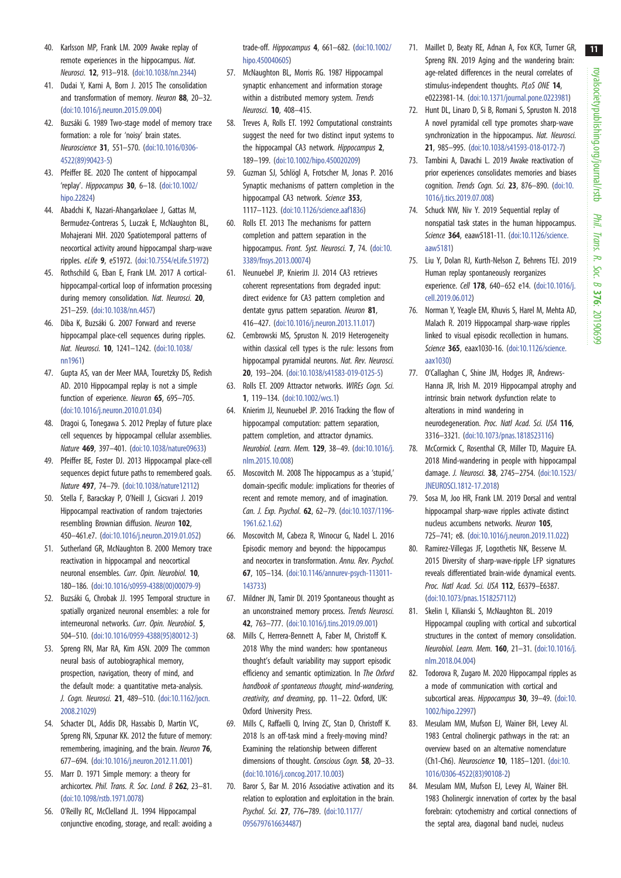royalsocietypublishing.org/journal/rstb royalsocietypublishing.org/journal/rstb Phil. Trans. R. Soc. $\sigma$ 376: 20190699

11

- <span id="page-10-0"></span>40. Karlsson MP, Frank LM. 2009 Awake replay of remote experiences in the hippocampus. Nat. Neurosci. 12, 913–918. [\(doi:10.1038/nn.2344\)](http://dx.doi.org/10.1038/nn.2344)
- 41. Dudai Y, Karni A, Born J. 2015 The consolidation and transformation of memory. Neuron 88, 20–32. [\(doi:10.1016/j.neuron.2015.09.004\)](http://dx.doi.org/10.1016/j.neuron.2015.09.004)
- 42. Buzsáki G. 1989 Two-stage model of memory trace formation: a role for 'noisy' brain states. Neuroscience 31, 551–570. [\(doi:10.1016/0306-](http://dx.doi.org/10.1016/0306-4522(89)90423-5) [4522\(89\)90423-5\)](http://dx.doi.org/10.1016/0306-4522(89)90423-5)
- 43. Pfeiffer BE. 2020 The content of hippocampal 'replay'. Hippocampus 30, 6–18. [\(doi:10.1002/](http://dx.doi.org/10.1002/hipo.22824) [hipo.22824\)](http://dx.doi.org/10.1002/hipo.22824)
- 44. Abadchi K, Nazari-Ahangarkolaee J, Gattas M, Bermudez-Contreras S, Luczak E, McNaughton BL, Mohajerani MH. 2020 Spatiotemporal patterns of neocortical activity around hippocampal sharp-wave ripples. eLife 9, e51972. ([doi:10.7554/eLife.51972\)](http://dx.doi.org/10.7554/eLife.51972)
- 45. Rothschild G, Eban E, Frank LM. 2017 A corticalhippocampal-cortical loop of information processing during memory consolidation. Nat. Neurosci. 20, 251–259. ([doi:10.1038/nn.4457\)](http://dx.doi.org/10.1038/nn.4457)
- 46. Diba K, Buzsáki G. 2007 Forward and reverse hippocampal place-cell sequences during ripples. Nat. Neurosci. 10, 1241–1242. ([doi:10.1038/](http://dx.doi.org/10.1038/nn1961) [nn1961\)](http://dx.doi.org/10.1038/nn1961)
- 47. Gupta AS, van der Meer MAA, Touretzky DS, Redish AD. 2010 Hippocampal replay is not a simple function of experience. Neuron 65, 695–705. [\(doi:10.1016/j.neuron.2010.01.034\)](http://dx.doi.org/10.1016/j.neuron.2010.01.034)
- 48. Dragoi G, Tonegawa S. 2012 Preplay of future place cell sequences by hippocampal cellular assemblies. Nature 469, 397–401. ([doi:10.1038/nature09633\)](http://dx.doi.org/10.1038/nature09633)
- 49. Pfeiffer BE, Foster DJ. 2013 Hippocampal place-cell sequences depict future paths to remembered goals. Nature 497, 74–79. ([doi:10.1038/nature12112\)](http://dx.doi.org/10.1038/nature12112)
- 50. Stella F, Baracskay P, O'Neill J, Csicsvari J. 2019 Hippocampal reactivation of random trajectories resembling Brownian diffusion. Neuron 102, 450–461.e7. [\(doi:10.1016/j.neuron.2019.01.052\)](http://dx.doi.org/10.1016/j.neuron.2019.01.052)
- 51. Sutherland GR, McNaughton B. 2000 Memory trace reactivation in hippocampal and neocortical neuronal ensembles. Curr. Opin. Neurobiol. 10, 180–186. ([doi:10.1016/s0959-4388\(00\)00079-9](http://dx.doi.org/10.1016/s0959-4388(00)00079-9))
- 52. Buzsáki G, Chrobak JJ. 1995 Temporal structure in spatially organized neuronal ensembles: a role for interneuronal networks. Curr. Opin. Neurobiol. 5, 504–510. ([doi:10.1016/0959-4388\(95\)80012-3\)](http://dx.doi.org/10.1016/0959-4388(95)80012-3)
- 53. Spreng RN, Mar RA, Kim ASN. 2009 The common neural basis of autobiographical memory, prospection, navigation, theory of mind, and the default mode: a quantitative meta-analysis. J. Cogn. Neurosci. 21, 489–510. ([doi:10.1162/jocn.](http://dx.doi.org/10.1162/jocn.2008.21029) [2008.21029](http://dx.doi.org/10.1162/jocn.2008.21029))
- 54. Schacter DL, Addis DR, Hassabis D, Martin VC, Spreng RN, Szpunar KK. 2012 the future of memory: remembering, imagining, and the brain. Neuron 76, 677–694. ([doi:10.1016/j.neuron.2012.11.001](http://dx.doi.org/10.1016/j.neuron.2012.11.001))
- 55. Marr D. 1971 Simple memory: a theory for archicortex. Phil. Trans. R. Soc. Lond. B 262, 23–81. [\(doi:10.1098/rstb.1971.0078\)](http://dx.doi.org/10.1098/rstb.1971.0078)
- 56. O'Reilly RC, McClelland JL. 1994 Hippocampal conjunctive encoding, storage, and recall: avoiding a

trade-off. Hippocampus 4, 661–682. ([doi:10.1002/](http://dx.doi.org/10.1002/hipo.450040605) [hipo.450040605](http://dx.doi.org/10.1002/hipo.450040605))

- 57. McNaughton BL, Morris RG. 1987 Hippocampal synaptic enhancement and information storage within a distributed memory system. Trends Neurosci. 10, 408–415.
- 58. Treves A, Rolls ET. 1992 Computational constraints suggest the need for two distinct input systems to the hippocampal CA3 network. Hippocampus 2, 189–199. ([doi:10.1002/hipo.450020209](http://dx.doi.org/10.1002/hipo.450020209))
- 59. Guzman SJ, Schlögl A, Frotscher M, Jonas P. 2016 Synaptic mechanisms of pattern completion in the hippocampal CA3 network. Science 353, 1117–1123. [\(doi:10.1126/science.aaf1836](http://dx.doi.org/10.1126/science.aaf1836))
- 60. Rolls ET. 2013 The mechanisms for pattern completion and pattern separation in the hippocampus. Front. Syst. Neurosci. 7, 74. [\(doi:10.](http://dx.doi.org/10.3389/fnsys.2013.00074) [3389/fnsys.2013.00074\)](http://dx.doi.org/10.3389/fnsys.2013.00074)
- 61. Neunuebel JP, Knierim JJ. 2014 CA3 retrieves coherent representations from degraded input: direct evidence for CA3 pattern completion and dentate gyrus pattern separation. Neuron 81, 416–427. ([doi:10.1016/j.neuron.2013.11.017](http://dx.doi.org/10.1016/j.neuron.2013.11.017))
- 62. Cembrowski MS, Spruston N. 2019 Heterogeneity within classical cell types is the rule: lessons from hippocampal pyramidal neurons. Nat. Rev. Neurosci. 20, 193–204. ([doi:10.1038/s41583-019-0125-5\)](http://dx.doi.org/10.1038/s41583-019-0125-5)
- 63. Rolls ET. 2009 Attractor networks. WIREs Coan. Sci. 1, 119–134. [\(doi:10.1002/wcs.1\)](http://dx.doi.org/10.1002/wcs.1)
- 64. Knierim JJ, Neunuebel JP. 2016 Tracking the flow of hippocampal computation: pattern separation, pattern completion, and attractor dynamics. Neurobiol. Learn. Mem. 129, 38–49. [\(doi:10.1016/j.](http://dx.doi.org/10.1016/j.nlm.2015.10.008) [nlm.2015.10.008](http://dx.doi.org/10.1016/j.nlm.2015.10.008))
- 65. Moscovitch M. 2008 The hippocampus as a 'stupid,' domain-specific module: implications for theories of recent and remote memory, and of imagination. Can. J. Exp. Psychol. 62, 62–79. [\(doi:10.1037/1196-](http://dx.doi.org/10.1037/1196-1961.62.1.62) [1961.62.1.62](http://dx.doi.org/10.1037/1196-1961.62.1.62))
- 66. Moscovitch M, Cabeza R, Winocur G, Nadel L. 2016 Episodic memory and beyond: the hippocampus and neocortex in transformation. Annu. Rev. Psychol. 67, 105–134. ([doi:10.1146/annurev-psych-113011-](http://dx.doi.org/10.1146/annurev-psych-113011-143733) [143733](http://dx.doi.org/10.1146/annurev-psych-113011-143733))
- 67. Mildner JN, Tamir DI. 2019 Spontaneous thought as an unconstrained memory process. Trends Neurosci. 42, 763–777. ([doi:10.1016/j.tins.2019.09.001\)](http://dx.doi.org/10.1016/j.tins.2019.09.001)
- 68. Mills C, Herrera-Bennett A, Faber M, Christoff K. 2018 Why the mind wanders: how spontaneous thought's default variability may support episodic efficiency and semantic optimization. In The Oxford handbook of spontaneous thought, mind-wandering, creativity, and dreaming, pp. 11–22. Oxford, UK: Oxford University Press.
- 69. Mills C, Raffaelli Q, Irving ZC, Stan D, Christoff K. 2018 Is an off-task mind a freely-moving mind? Examining the relationship between different dimensions of thought. Conscious Cogn. 58, 20-33. [\(doi:10.1016/j.concog.2017.10.003\)](http://dx.doi.org/10.1016/j.concog.2017.10.003)
- 70. Baror S, Bar M. 2016 Associative activation and its relation to exploration and exploitation in the brain. Psychol. Sci. 27, 776–789. ([doi:10.1177/](http://dx.doi.org/10.1177/0956797616634487) [0956797616634487\)](http://dx.doi.org/10.1177/0956797616634487)
- 71. Maillet D, Beaty RE, Adnan A, Fox KCR, Turner GR, Spreng RN. 2019 Aging and the wandering brain: age-related differences in the neural correlates of stimulus-independent thoughts. PLoS ONE 14, e0223981-14. ([doi:10.1371/journal.pone.0223981](http://dx.doi.org/10.1371/journal.pone.0223981))
- 72. Hunt DL, Linaro D, Si B, Romani S, Spruston N. 2018 A novel pyramidal cell type promotes sharp-wave synchronization in the hippocampus. Nat. Neurosci. 21, 985–995. ([doi:10.1038/s41593-018-0172-7\)](http://dx.doi.org/10.1038/s41593-018-0172-7)
- 73. Tambini A, Davachi L. 2019 Awake reactivation of prior experiences consolidates memories and biases cognition. Trends Cogn. Sci. 23, 876-890. ([doi:10.](http://dx.doi.org/10.1016/j.tics.2019.07.008) [1016/j.tics.2019.07.008](http://dx.doi.org/10.1016/j.tics.2019.07.008))
- 74. Schuck NW, Niv Y. 2019 Sequential replay of nonspatial task states in the human hippocampus. Science 364, eaaw5181-11. ([doi:10.1126/science.](http://dx.doi.org/10.1126/science.aaw5181) [aaw5181](http://dx.doi.org/10.1126/science.aaw5181))
- 75. Liu Y, Dolan RJ, Kurth-Nelson Z, Behrens TEJ. 2019 Human replay spontaneously reorganizes experience. Cell 178, 640–652 e14. [\(doi:10.1016/j.](http://dx.doi.org/10.1016/j.cell.2019.06.012) [cell.2019.06.012](http://dx.doi.org/10.1016/j.cell.2019.06.012))
- 76. Norman Y, Yeagle EM, Khuvis S, Harel M, Mehta AD, Malach R. 2019 Hippocampal sharp-wave ripples linked to visual episodic recollection in humans. Science 365, eaax1030-16. ([doi:10.1126/science.](http://dx.doi.org/10.1126/science.aax1030) [aax1030\)](http://dx.doi.org/10.1126/science.aax1030)
- 77. O'Callaghan C, Shine JM, Hodges JR, Andrews-Hanna JR, Irish M. 2019 Hippocampal atrophy and intrinsic brain network dysfunction relate to alterations in mind wandering in neurodegeneration. Proc. Natl Acad. Sci. USA 116, 3316–3321. [\(doi:10.1073/pnas.1818523116\)](http://dx.doi.org/10.1073/pnas.1818523116)
- 78. McCormick C, Rosenthal CR, Miller TD, Maguire EA. 2018 Mind-wandering in people with hippocampal damage. J. Neurosci. 38, 2745–2754. [\(doi:10.1523/](http://dx.doi.org/10.1523/JNEUROSCI.1812-17.2018) [JNEUROSCI.1812-17.2018](http://dx.doi.org/10.1523/JNEUROSCI.1812-17.2018))
- 79. Sosa M, Joo HR, Frank LM. 2019 Dorsal and ventral hippocampal sharp-wave ripples activate distinct nucleus accumbens networks. Neuron 105, 725–741; e8. ([doi:10.1016/j.neuron.2019.11.022](http://dx.doi.org/10.1016/j.neuron.2019.11.022))
- 80. Ramirez-Villegas JF, Logothetis NK, Besserve M. 2015 Diversity of sharp-wave-ripple LFP signatures reveals differentiated brain-wide dynamical events. Proc. Natl Acad. Sci. USA 112, E6379–E6387. ([doi:10.1073/pnas.1518257112\)](http://dx.doi.org/10.1073/pnas.1518257112)
- 81. Skelin I, Kilianski S, McNaughton BL. 2019 Hippocampal coupling with cortical and subcortical structures in the context of memory consolidation. Neurobiol. Learn. Mem. 160, 21–31. ([doi:10.1016/j.](http://dx.doi.org/10.1016/j.nlm.2018.04.004) [nlm.2018.04.004\)](http://dx.doi.org/10.1016/j.nlm.2018.04.004)
- 82. Todorova R, Zugaro M. 2020 Hippocampal ripples as a mode of communication with cortical and subcortical areas. Hippocampus 30, 39-49. [\(doi:10.](http://dx.doi.org/10.1002/hipo.22997) [1002/hipo.22997](http://dx.doi.org/10.1002/hipo.22997))
- 83. Mesulam MM, Mufson EJ, Wainer BH, Levey AI. 1983 Central cholinergic pathways in the rat: an overview based on an alternative nomenclature (Ch1-Ch6). Neuroscience 10, 1185–1201. ([doi:10.](http://dx.doi.org/10.1016/0306-4522(83)90108-2) [1016/0306-4522\(83\)90108-2\)](http://dx.doi.org/10.1016/0306-4522(83)90108-2)
- 84. Mesulam MM, Mufson EJ, Levey AI, Wainer BH. 1983 Cholinergic innervation of cortex by the basal forebrain: cytochemistry and cortical connections of the septal area, diagonal band nuclei, nucleus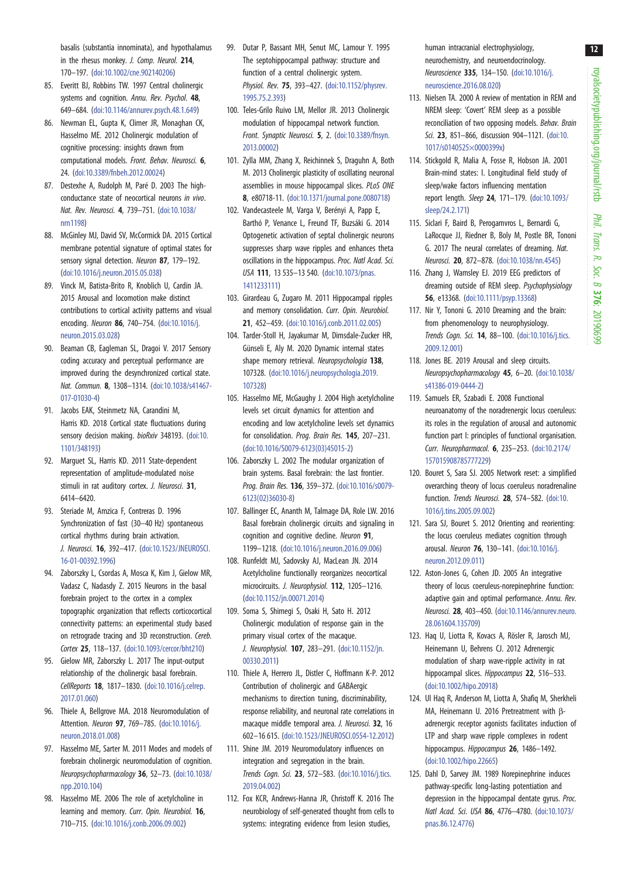<span id="page-11-0"></span>basalis (substantia innominata), and hypothalamus in the rhesus monkey. J. Comp. Neurol. 214, 170–197. ([doi:10.1002/cne.902140206\)](http://dx.doi.org/10.1002/cne.902140206)

- 85. Everitt BJ, Robbins TW. 1997 Central cholinergic systems and cognition. Annu. Rev. Psychol. 48, 649–684. ([doi:10.1146/annurev.psych.48.1.649\)](http://dx.doi.org/10.1146/annurev.psych.48.1.649)
- 86. Newman EL, Gupta K, Climer JR, Monaghan CK, Hasselmo ME. 2012 Cholinergic modulation of cognitive processing: insights drawn from computational models. Front. Behav. Neurosci. 6, 24. ([doi:10.3389/fnbeh.2012.00024\)](http://dx.doi.org/10.3389/fnbeh.2012.00024)
- 87. Destexhe A, Rudolph M, Paré D. 2003 The highconductance state of neocortical neurons in vivo. Nat. Rev. Neurosci. 4, 739–751. [\(doi:10.1038/](http://dx.doi.org/10.1038/nrn1198) [nrn1198\)](http://dx.doi.org/10.1038/nrn1198)
- 88. McGinley MJ, David SV, McCormick DA. 2015 Cortical membrane potential signature of optimal states for sensory signal detection. Neuron 87, 179-192. [\(doi:10.1016/j.neuron.2015.05.038\)](http://dx.doi.org/10.1016/j.neuron.2015.05.038)
- 89. Vinck M, Batista-Brito R, Knoblich U, Cardin JA. 2015 Arousal and locomotion make distinct contributions to cortical activity patterns and visual encoding. Neuron 86, 740–754. ([doi:10.1016/j.](http://dx.doi.org/10.1016/j.neuron.2015.03.028) [neuron.2015.03.028\)](http://dx.doi.org/10.1016/j.neuron.2015.03.028)
- 90. Beaman CB, Eagleman SL, Dragoi V. 2017 Sensory coding accuracy and perceptual performance are improved during the desynchronized cortical state. Nat. Commun. 8, 1308–1314. ([doi:10.1038/s41467-](http://dx.doi.org/10.1038/s41467-017-01030-4) [017-01030-4](http://dx.doi.org/10.1038/s41467-017-01030-4))
- 91. Jacobs EAK, Steinmetz NA, Carandini M, Harris KD. 2018 Cortical state fluctuations during sensory decision making. bioRxiv 348193. [\(doi:10.](http://dx.doi.org/10.1101/348193) [1101/348193](http://dx.doi.org/10.1101/348193))
- 92. Marguet SL, Harris KD. 2011 State-dependent representation of amplitude-modulated noise stimuli in rat auditory cortex. J. Neurosci. 31, 6414–6420.
- 93. Steriade M, Amzica F, Contreras D. 1996 Synchronization of fast (30–40 Hz) spontaneous cortical rhythms during brain activation. J. Neurosci. 16, 392–417. [\(doi:10.1523/JNEUROSCI.](http://dx.doi.org/10.1523/JNEUROSCI.16-01-00392.1996) [16-01-00392.1996\)](http://dx.doi.org/10.1523/JNEUROSCI.16-01-00392.1996)
- 94. Zaborszky L, Csordas A, Mosca K, Kim J, Gielow MR, Vadasz C, Nadasdy Z. 2015 Neurons in the basal forebrain project to the cortex in a complex topographic organization that reflects corticocortical connectivity patterns: an experimental study based on retrograde tracing and 3D reconstruction. Cereb. Cortex 25, 118–137. [\(doi:10.1093/cercor/bht210\)](http://dx.doi.org/10.1093/cercor/bht210)
- 95. Gielow MR, Zaborszky L. 2017 The input-output relationship of the cholinergic basal forebrain. CellReports 18, 1817–1830. ([doi:10.1016/j.celrep.](http://dx.doi.org/10.1016/j.celrep.2017.01.060) [2017.01.060\)](http://dx.doi.org/10.1016/j.celrep.2017.01.060)
- 96. Thiele A, Bellgrove MA. 2018 Neuromodulation of Attention. Neuron 97, 769–785. ([doi:10.1016/j.](http://dx.doi.org/10.1016/j.neuron.2018.01.008) [neuron.2018.01.008\)](http://dx.doi.org/10.1016/j.neuron.2018.01.008)
- 97. Hasselmo ME, Sarter M. 2011 Modes and models of forebrain cholinergic neuromodulation of cognition. Neuropsychopharmacology 36, 52–73. ([doi:10.1038/](http://dx.doi.org/10.1038/npp.2010.104) [npp.2010.104\)](http://dx.doi.org/10.1038/npp.2010.104)
- 98. Hasselmo ME. 2006 The role of acetylcholine in learning and memory. Curr. Opin. Neurobiol. 16, 710–715. ([doi:10.1016/j.conb.2006.09.002](http://dx.doi.org/10.1016/j.conb.2006.09.002))
- 99. Dutar P, Bassant MH, Senut MC, Lamour Y. 1995 The septohippocampal pathway: structure and function of a central cholinergic system. Physiol. Rev. 75, 393–427. [\(doi:10.1152/physrev.](http://dx.doi.org/10.1152/physrev.1995.75.2.393) [1995.75.2.393\)](http://dx.doi.org/10.1152/physrev.1995.75.2.393)
- 100. Teles-Grilo Ruivo LM, Mellor JR. 2013 Cholinergic modulation of hippocampal network function. Front. Synaptic Neurosci. 5, 2. ([doi:10.3389/fnsyn.](http://dx.doi.org/10.3389/fnsyn.2013.00002) [2013.00002\)](http://dx.doi.org/10.3389/fnsyn.2013.00002)
- 101. Zylla MM, Zhang X, Reichinnek S, Draguhn A, Both M. 2013 Cholinergic plasticity of oscillating neuronal assemblies in mouse hippocampal slices. PLoS ONE 8, e80718-11. ([doi:10.1371/journal.pone.0080718\)](http://dx.doi.org/10.1371/journal.pone.0080718)
- 102. Vandecasteele M, Varga V, Berényi A, Papp E, Barthó P, Venance L, Freund TF, Buzsáki G. 2014 Optogenetic activation of septal cholinergic neurons suppresses sharp wave ripples and enhances theta oscillations in the hippocampus. Proc. Natl Acad. Sci. USA 111, 13 535–13 540. [\(doi:10.1073/pnas.](http://dx.doi.org/10.1073/pnas.1411233111) [1411233111\)](http://dx.doi.org/10.1073/pnas.1411233111)
- 103. Girardeau G, Zugaro M. 2011 Hippocampal ripples and memory consolidation. Curr. Opin. Neurobiol. 21, 452–459. ([doi:10.1016/j.conb.2011.02.005](http://dx.doi.org/10.1016/j.conb.2011.02.005))
- 104. Tarder-Stoll H, Jayakumar M, Dimsdale-Zucker HR, Günseli E, Aly M. 2020 Dynamic internal states shape memory retrieval. Neuropsychologia 138, 107328. [\(doi:10.1016/j.neuropsychologia.2019.](http://dx.doi.org/10.1016/j.neuropsychologia.2019.107328) [107328](http://dx.doi.org/10.1016/j.neuropsychologia.2019.107328))
- 105. Hasselmo ME, McGaughy J. 2004 High acetylcholine levels set circuit dynamics for attention and encoding and low acetylcholine levels set dynamics for consolidation. Prog. Brain Res. 145, 207–231. [\(doi:10.1016/S0079-6123\(03\)45015-2](http://dx.doi.org/10.1016/S0079-6123(03)45015-2))
- 106. Zaborszky L. 2002 The modular organization of brain systems. Basal forebrain: the last frontier. Prog. Brain Res. 136, 359–372. ([doi:10.1016/s0079-](http://dx.doi.org/10.1016/s0079-6123(02)36030-8) [6123\(02\)36030-8](http://dx.doi.org/10.1016/s0079-6123(02)36030-8))
- 107. Ballinger EC, Ananth M, Talmage DA, Role LW. 2016 Basal forebrain cholinergic circuits and signaling in cognition and cognitive decline. Neuron 91, 1199–1218. [\(doi:10.1016/j.neuron.2016.09.006\)](http://dx.doi.org/10.1016/j.neuron.2016.09.006)
- 108. Runfeldt MJ, Sadovsky AJ, MacLean JN. 2014 Acetylcholine functionally reorganizes neocortical microcircuits. J. Neurophysiol. 112, 1205–1216. [\(doi:10.1152/jn.00071.2014\)](http://dx.doi.org/10.1152/jn.00071.2014)
- 109. Soma S, Shimegi S, Osaki H, Sato H. 2012 Cholinergic modulation of response gain in the primary visual cortex of the macaque. J. Neurophysiol. 107, 283–291. ([doi:10.1152/jn.](http://dx.doi.org/10.1152/jn.00330.2011) [00330.2011\)](http://dx.doi.org/10.1152/jn.00330.2011)
- 110. Thiele A, Herrero JL, Distler C, Hoffmann K-P. 2012 Contribution of cholinergic and GABAergic mechanisms to direction tuning, discriminability, response reliability, and neuronal rate correlations in macaque middle temporal area. J. Neurosci. 32, 16 602–16 615. [\(doi:10.1523/JNEUROSCI.0554-12.2012\)](http://dx.doi.org/10.1523/JNEUROSCI.0554-12.2012)
- 111. Shine JM. 2019 Neuromodulatory influences on integration and segregation in the brain. Trends Cogn. Sci. 23, 572–583. ([doi:10.1016/j.tics.](http://dx.doi.org/10.1016/j.tics.2019.04.002) [2019.04.002\)](http://dx.doi.org/10.1016/j.tics.2019.04.002)
- 112. Fox KCR, Andrews-Hanna JR, Christoff K. 2016 The neurobiology of self-generated thought from cells to systems: integrating evidence from lesion studies,

human intracranial electrophysiology, neurochemistry, and neuroendocrinology. Neuroscience 335, 134–150. ([doi:10.1016/j.](http://dx.doi.org/10.1016/j.neuroscience.2016.08.020) [neuroscience.2016.08.020](http://dx.doi.org/10.1016/j.neuroscience.2016.08.020))

- 113. Nielsen TA. 2000 A review of mentation in REM and NREM sleep: 'Covert' REM sleep as a possible reconciliation of two opposing models. Behav. Brain Sci. 23, 851–866, discussion 904–1121. ([doi:10.](http://dx.doi.org/10.1017/s0140525×0000399x) [1017/s0140525×0000399x\)](http://dx.doi.org/10.1017/s0140525×0000399x)
- 114. Stickgold R, Malia A, Fosse R, Hobson JA. 2001 Brain-mind states: I. Longitudinal field study of sleep/wake factors influencing mentation report length. Sleep 24, 171–179. [\(doi:10.1093/](http://dx.doi.org/10.1093/sleep/24.2.171) [sleep/24.2.171\)](http://dx.doi.org/10.1093/sleep/24.2.171)
- 115. Siclari F, Baird B, Perogamvros L, Bernardi G, LaRocque JJ, Riedner B, Boly M, Postle BR, Tononi G. 2017 The neural correlates of dreaming. Nat. Neurosci. 20, 872–878. ([doi:10.1038/nn.4545\)](http://dx.doi.org/10.1038/nn.4545)
- 116. Zhang J, Wamsley EJ. 2019 EEG predictors of dreaming outside of REM sleep. Psychophysiology 56, e13368. ([doi:10.1111/psyp.13368\)](http://dx.doi.org/10.1111/psyp.13368)
- 117. Nir Y, Tononi G. 2010 Dreaming and the brain: from phenomenology to neurophysiology. Trends Cogn. Sci. 14, 88–100. [\(doi:10.1016/j.tics.](http://dx.doi.org/10.1016/j.tics.2009.12.001) [2009.12.001](http://dx.doi.org/10.1016/j.tics.2009.12.001))
- 118. Jones BE. 2019 Arousal and sleep circuits. Neuropsychopharmacology 45, 6–20. [\(doi:10.1038/](http://dx.doi.org/10.1038/s41386-019-0444-2) [s41386-019-0444-2](http://dx.doi.org/10.1038/s41386-019-0444-2))
- 119. Samuels ER, Szabadi E. 2008 Functional neuroanatomy of the noradrenergic locus coeruleus: its roles in the regulation of arousal and autonomic function part I: principles of functional organisation. Curr. Neuropharmacol. 6, 235–253. [\(doi:10.2174/](http://dx.doi.org/10.2174/157015908785777229) [157015908785777229](http://dx.doi.org/10.2174/157015908785777229))
- 120. Bouret S, Sara SJ. 2005 Network reset: a simplified overarching theory of locus coeruleus noradrenaline function. Trends Neurosci. 28, 574-582. [\(doi:10.](http://dx.doi.org/10.1016/j.tins.2005.09.002) [1016/j.tins.2005.09.002](http://dx.doi.org/10.1016/j.tins.2005.09.002))
- 121. Sara SJ, Bouret S. 2012 Orienting and reorienting: the locus coeruleus mediates cognition through arousal. Neuron 76, 130–141. [\(doi:10.1016/j.](http://dx.doi.org/10.1016/j.neuron.2012.09.011) [neuron.2012.09.011](http://dx.doi.org/10.1016/j.neuron.2012.09.011))
- 122. Aston-Jones G, Cohen JD. 2005 An integrative theory of locus coeruleus-norepinephrine function: adaptive gain and optimal performance. Annu. Rev. Neurosci. 28, 403–450. [\(doi:10.1146/annurev.neuro.](http://dx.doi.org/10.1146/annurev.neuro.28.061604.135709) [28.061604.135709](http://dx.doi.org/10.1146/annurev.neuro.28.061604.135709))
- 123. Haq U, Liotta R, Kovacs A, Rösler R, Jarosch MJ, Heinemann U, Behrens CJ. 2012 Adrenergic modulation of sharp wave-ripple activity in rat hippocampal slices. Hippocampus 22, 516-533. ([doi:10.1002/hipo.20918](http://dx.doi.org/10.1002/hipo.20918))
- 124. Ul Haq R, Anderson M, Liotta A, Shafiq M, Sherkheli MA, Heinemann U. 2016 Pretreatment with βadrenergic receptor agonists facilitates induction of LTP and sharp wave ripple complexes in rodent hippocampus. Hippocampus 26, 1486-1492. ([doi:10.1002/hipo.22665](http://dx.doi.org/10.1002/hipo.22665))
- 125. Dahl D, Sarvey JM. 1989 Norepinephrine induces pathway-specific long-lasting potentiation and depression in the hippocampal dentate gyrus. Proc. Natl Acad. Sci. USA 86, 4776–4780. [\(doi:10.1073/](http://dx.doi.org/10.1073/pnas.86.12.4776) [pnas.86.12.4776\)](http://dx.doi.org/10.1073/pnas.86.12.4776)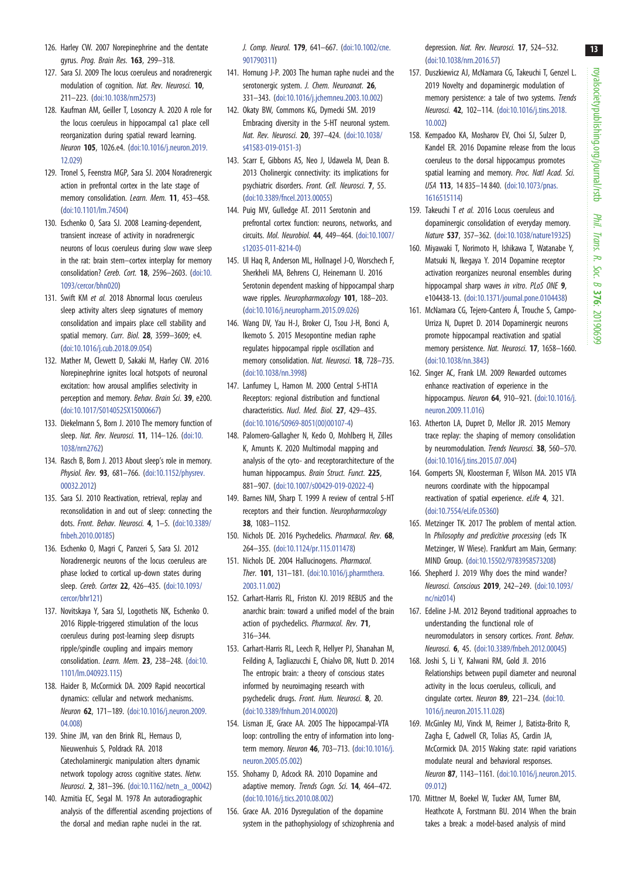- <span id="page-12-0"></span>126. Harley CW. 2007 Norepinephrine and the dentate gyrus. Prog. Brain Res. 163, 299-318.
- 127. Sara SJ. 2009 The locus coeruleus and noradrenergic modulation of cognition. Nat. Rev. Neurosci. 10, 211–223. ([doi:10.1038/nrn2573](http://dx.doi.org/10.1038/nrn2573))
- 128. Kaufman AM, Geiller T, Losonczy A. 2020 A role for the locus coeruleus in hippocampal ca1 place cell reorganization during spatial reward learning. Neuron 105, 1026.e4. ([doi:10.1016/j.neuron.2019.](http://dx.doi.org/10.1016/j.neuron.2019.12.029) [12.029\)](http://dx.doi.org/10.1016/j.neuron.2019.12.029)
- 129. Tronel S, Feenstra MGP, Sara SJ. 2004 Noradrenergic action in prefrontal cortex in the late stage of memory consolidation. Learn. Mem. 11, 453–458. [\(doi:10.1101/lm.74504\)](http://dx.doi.org/10.1101/lm.74504)
- 130. Eschenko O, Sara SJ. 2008 Learning-dependent, transient increase of activity in noradrenergic neurons of locus coeruleus during slow wave sleep in the rat: brain stem–cortex interplay for memory consolidation? Cereb. Cort. 18, 2596–2603. ([doi:10.](http://dx.doi.org/10.1093/cercor/bhn020) [1093/cercor/bhn020](http://dx.doi.org/10.1093/cercor/bhn020))
- 131. Swift KM et al. 2018 Abnormal locus coeruleus sleep activity alters sleep signatures of memory consolidation and impairs place cell stability and spatial memory. Curr. Biol. 28, 3599–3609; e4. [\(doi:10.1016/j.cub.2018.09.054](http://dx.doi.org/10.1016/j.cub.2018.09.054))
- 132. Mather M, Clewett D, Sakaki M, Harley CW. 2016 Norepinephrine ignites local hotspots of neuronal excitation: how arousal amplifies selectivity in perception and memory. Behav. Brain Sci. 39, e200. [\(doi:10.1017/S0140525X15000667](http://dx.doi.org/10.1017/S0140525X15000667))
- 133. Diekelmann S, Born J. 2010 The memory function of sleep. Nat. Rev. Neurosci. **11**, 114-126. [\(doi:10.](http://dx.doi.org/10.1038/nrn2762) [1038/nrn2762\)](http://dx.doi.org/10.1038/nrn2762)
- 134. Rasch B, Born J. 2013 About sleep's role in memory. Physiol. Rev. 93, 681-766. [\(doi:10.1152/physrev.](http://dx.doi.org/10.1152/physrev.00032.2012) [00032.2012](http://dx.doi.org/10.1152/physrev.00032.2012))
- 135. Sara SJ. 2010 Reactivation, retrieval, replay and reconsolidation in and out of sleep: connecting the dots. Front. Behav. Neurosci. 4, 1–5. ([doi:10.3389/](http://dx.doi.org/10.3389/fnbeh.2010.00185) [fnbeh.2010.00185\)](http://dx.doi.org/10.3389/fnbeh.2010.00185)
- 136. Eschenko O, Magri C, Panzeri S, Sara SJ. 2012 Noradrenergic neurons of the locus coeruleus are phase locked to cortical up-down states during sleep. Cereb. Cortex 22, 426–435. [\(doi:10.1093/](http://dx.doi.org/10.1093/cercor/bhr121) [cercor/bhr121\)](http://dx.doi.org/10.1093/cercor/bhr121)
- 137. Novitskaya Y, Sara SJ, Logothetis NK, Eschenko O. 2016 Ripple-triggered stimulation of the locus coeruleus during post-learning sleep disrupts ripple/spindle coupling and impairs memory consolidation. Learn. Mem. 23, 238–248. [\(doi:10.](http://dx.doi.org/10.1101/lm.040923.115) [1101/lm.040923.115\)](http://dx.doi.org/10.1101/lm.040923.115)
- 138. Haider B, McCormick DA. 2009 Rapid neocortical dynamics: cellular and network mechanisms. Neuron 62, 171–189. [\(doi:10.1016/j.neuron.2009.](http://dx.doi.org/10.1016/j.neuron.2009.04.008) [04.008\)](http://dx.doi.org/10.1016/j.neuron.2009.04.008)
- 139. Shine JM, van den Brink RL, Hernaus D, Nieuwenhuis S, Poldrack RA. 2018 Catecholaminergic manipulation alters dynamic network topology across cognitive states. Netw. Neurosci. 2, 381–396. ([doi:10.1162/netn\\_a\\_00042\)](http://dx.doi.org/10.1162/netn_a_00042)
- 140. Azmitia EC, Segal M. 1978 An autoradiographic analysis of the differential ascending projections of the dorsal and median raphe nuclei in the rat.

J. Comp. Neurol. 179, 641–667. [\(doi:10.1002/cne.](http://dx.doi.org/10.1002/cne.901790311) [901790311](http://dx.doi.org/10.1002/cne.901790311))

- 141. Hornung J-P. 2003 The human raphe nuclei and the serotonergic system. J. Chem. Neuroanat. 26, 331–343. ([doi:10.1016/j.jchemneu.2003.10.002\)](http://dx.doi.org/10.1016/j.jchemneu.2003.10.002)
- 142. Okaty BW, Commons KG, Dymecki SM. 2019 Embracing diversity in the 5-HT neuronal system. Nat. Rev. Neurosci. 20, 397–424. [\(doi:10.1038/](http://dx.doi.org/10.1038/s41583-019-0151-3) [s41583-019-0151-3\)](http://dx.doi.org/10.1038/s41583-019-0151-3)
- 143. Scarr E, Gibbons AS, Neo J, Udawela M, Dean B. 2013 Cholinergic connectivity: its implications for psychiatric disorders. Front. Cell. Neurosci. 7, 55. [\(doi:10.3389/fncel.2013.00055](http://dx.doi.org/10.3389/fncel.2013.00055))
- 144. Puig MV, Gulledge AT. 2011 Serotonin and prefrontal cortex function: neurons, networks, and circuits. Mol. Neurobiol. 44, 449–464. [\(doi:10.1007/](http://dx.doi.org/10.1007/s12035-011-8214-0) [s12035-011-8214-0\)](http://dx.doi.org/10.1007/s12035-011-8214-0)
- 145. Ul Haq R, Anderson ML, Hollnagel J-O, Worschech F, Sherkheli MA, Behrens CJ, Heinemann U. 2016 Serotonin dependent masking of hippocampal sharp wave ripples. Neuropharmacology 101, 188-203. [\(doi:10.1016/j.neuropharm.2015.09.026](http://dx.doi.org/10.1016/j.neuropharm.2015.09.026))
- 146. Wang DV, Yau H-J, Broker CJ, Tsou J-H, Bonci A, Ikemoto S. 2015 Mesopontine median raphe regulates hippocampal ripple oscillation and memory consolidation. Nat. Neurosci. **18**, 728-735. [\(doi:10.1038/nn.3998](http://dx.doi.org/10.1038/nn.3998))
- 147. Lanfumey L, Hamon M. 2000 Central 5-HT1A Receptors: regional distribution and functional characteristics. Nucl. Med. Biol. 27, 429–435. [\(doi:10.1016/S0969-8051\(00\)00107-4](http://dx.doi.org/10.1016/S0969-8051(00)00107-4))
- 148. Palomero-Gallagher N, Kedo O, Mohlberg H, Zilles K, Amunts K. 2020 Multimodal mapping and analysis of the cyto- and receptorarchitecture of the human hippocampus. Brain Struct. Funct. 225, 881–907. ([doi:10.1007/s00429-019-02022-4](http://dx.doi.org/10.1007/s00429-019-02022-4))
- 149. Barnes NM, Sharp T. 1999 A review of central 5-HT receptors and their function. Neuropharmacology 38, 1083–1152.
- 150. Nichols DE. 2016 Psychedelics. Pharmacol. Rev. 68. 264–355. ([doi:10.1124/pr.115.011478\)](http://dx.doi.org/10.1124/pr.115.011478)
- 151. Nichols DE. 2004 Hallucinogens. Pharmacol. Ther. 101, 131–181. ([doi:10.1016/j.pharmthera.](http://dx.doi.org/10.1016/j.pharmthera.2003.11.002) [2003.11.002\)](http://dx.doi.org/10.1016/j.pharmthera.2003.11.002)
- 152. Carhart-Harris RL, Friston KJ. 2019 REBUS and the anarchic brain: toward a unified model of the brain action of psychedelics. Pharmacol. Rev. 71, 316–344.
- 153. Carhart-Harris RL, Leech R, Hellyer PJ, Shanahan M, Feilding A, Tagliazucchi E, Chialvo DR, Nutt D. 2014 The entropic brain: a theory of conscious states informed by neuroimaging research with psychedelic drugs. Front. Hum. Neurosci. 8, 20. [\(doi:10.3389/fnhum.2014.00020\)](http://dx.doi.org/10.3389/fnhum.2014.00020)
- 154. Lisman JE, Grace AA. 2005 The hippocampal-VTA loop: controlling the entry of information into longterm memory. Neuron 46, 703–713. [\(doi:10.1016/j.](http://dx.doi.org/10.1016/j.neuron.2005.05.002) [neuron.2005.05.002\)](http://dx.doi.org/10.1016/j.neuron.2005.05.002)
- 155. Shohamy D, Adcock RA. 2010 Dopamine and adaptive memory. Trends Cogn. Sci. 14, 464-472. [\(doi:10.1016/j.tics.2010.08.002](http://dx.doi.org/10.1016/j.tics.2010.08.002))
- 156. Grace AA. 2016 Dysregulation of the dopamine system in the pathophysiology of schizophrenia and

depression. Nat. Rev. Neurosci. 17, 524-532. ([doi:10.1038/nrn.2016.57](http://dx.doi.org/10.1038/nrn.2016.57))

- 157. Duszkiewicz AJ, McNamara CG, Takeuchi T, Genzel L. 2019 Novelty and dopaminergic modulation of memory persistence: a tale of two systems. Trends Neurosci. 42, 102–114. ([doi:10.1016/j.tins.2018.](http://dx.doi.org/10.1016/j.tins.2018.10.002) [10.002](http://dx.doi.org/10.1016/j.tins.2018.10.002))
- 158. Kempadoo KA, Mosharov EV, Choi SJ, Sulzer D, Kandel ER. 2016 Dopamine release from the locus coeruleus to the dorsal hippocampus promotes spatial learning and memory. Proc. Natl Acad. Sci. USA 113, 14 835–14 840. [\(doi:10.1073/pnas.](http://dx.doi.org/10.1073/pnas.1616515114) [1616515114](http://dx.doi.org/10.1073/pnas.1616515114))
- 159. Takeuchi T et al. 2016 Locus coeruleus and dopaminergic consolidation of everyday memory. Nature 537, 357–362. [\(doi:10.1038/nature19325](http://dx.doi.org/10.1038/nature19325))
- 160. Miyawaki T, Norimoto H, Ishikawa T, Watanabe Y, Matsuki N, Ikegaya Y. 2014 Dopamine receptor activation reorganizes neuronal ensembles during hippocampal sharp waves in vitro. PLoS ONE 9, e104438-13. [\(doi:10.1371/journal.pone.0104438\)](http://dx.doi.org/10.1371/journal.pone.0104438)
- 161. McNamara CG, Tejero-Cantero Á, Trouche S, Campo-Urriza N, Dupret D. 2014 Dopaminergic neurons promote hippocampal reactivation and spatial memory persistence. Nat. Neurosci. 17, 1658-1660. ([doi:10.1038/nn.3843\)](http://dx.doi.org/10.1038/nn.3843)
- 162. Singer AC, Frank LM. 2009 Rewarded outcomes enhance reactivation of experience in the hippocampus. Neuron **64**, 910–921. ([doi:10.1016/j.](http://dx.doi.org/10.1016/j.neuron.2009.11.016) [neuron.2009.11.016](http://dx.doi.org/10.1016/j.neuron.2009.11.016))
- 163. Atherton LA, Dupret D, Mellor JR. 2015 Memory trace replay: the shaping of memory consolidation by neuromodulation. Trends Neurosci. 38, 560–570. ([doi:10.1016/j.tins.2015.07.004](http://dx.doi.org/10.1016/j.tins.2015.07.004))
- 164. Gomperts SN, Kloosterman F, Wilson MA. 2015 VTA neurons coordinate with the hippocampal reactivation of spatial experience. eLife 4, 321. ([doi:10.7554/eLife.05360](http://dx.doi.org/10.7554/eLife.05360))
- 165. Metzinger TK. 2017 The problem of mental action. In Philosophy and predicitive processing (eds TK Metzinger, W Wiese). Frankfurt am Main, Germany: MIND Group. [\(doi:10.15502/9783958573208\)](http://dx.doi.org/10.15502/9783958573208)
- 166. Shepherd J. 2019 Why does the mind wander? Neurosci. Conscious 2019, 242–249. ([doi:10.1093/](http://dx.doi.org/10.1093/nc/niz014) [nc/niz014](http://dx.doi.org/10.1093/nc/niz014))
- 167. Edeline J-M. 2012 Beyond traditional approaches to understanding the functional role of neuromodulators in sensory cortices. Front. Behav. Neurosci. 6, 45. ([doi:10.3389/fnbeh.2012.00045](http://dx.doi.org/10.3389/fnbeh.2012.00045))
- 168. Joshi S, Li Y, Kalwani RM, Gold JI. 2016 Relationships between pupil diameter and neuronal activity in the locus coeruleus, colliculi, and cingulate cortex. Neuron 89, 221–234. ([doi:10.](http://dx.doi.org/10.1016/j.neuron.2015.11.028) [1016/j.neuron.2015.11.028\)](http://dx.doi.org/10.1016/j.neuron.2015.11.028)
- 169. McGinley MJ, Vinck M, Reimer J, Batista-Brito R, Zagha E, Cadwell CR, Tolias AS, Cardin JA, McCormick DA. 2015 Waking state: rapid variations modulate neural and behavioral responses. Neuron 87, 1143–1161. ([doi:10.1016/j.neuron.2015.](http://dx.doi.org/10.1016/j.neuron.2015.09.012) [09.012](http://dx.doi.org/10.1016/j.neuron.2015.09.012))
- 170. Mittner M, Boekel W, Tucker AM, Turner BM, Heathcote A, Forstmann BU. 2014 When the brain takes a break: a model-based analysis of mind